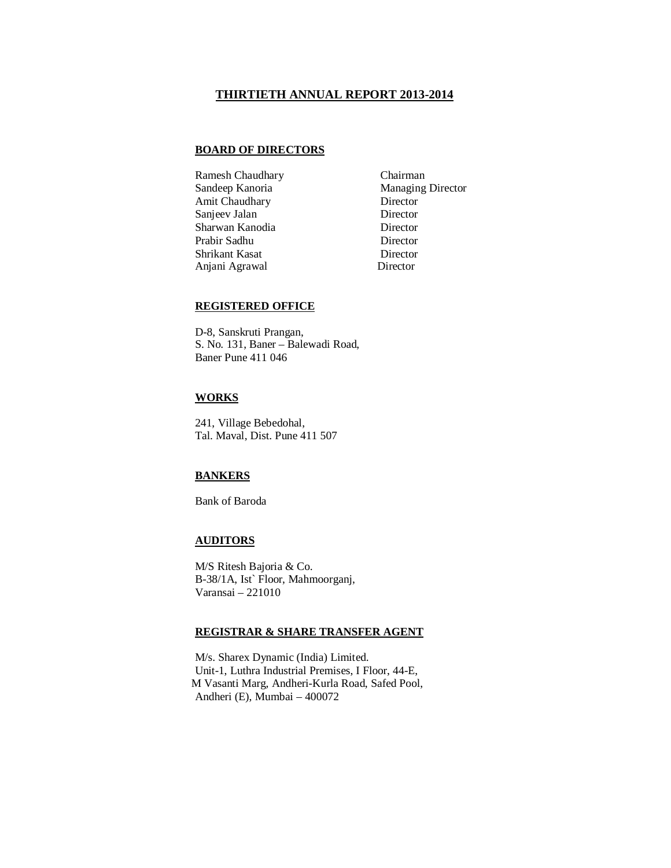#### **THIRTIETH ANNUAL REPORT 2013-2014**

#### **BOARD OF DIRECTORS**

Ramesh Chaudhary Chairman Sandeep Kanoria Managing Director Amit Chaudhary Director Sanjeev Jalan Director Sharwan Kanodia Director Prabir Sadhu<br>
Shrikant Kasat<br>
Director<br>
Director Shrikant Kasat Anjani Agrawal Director

## **REGISTERED OFFICE**

D-8, Sanskruti Prangan, S. No. 131, Baner – Balewadi Road, Baner Pune 411 046

# **WORKS**

241, Village Bebedohal, Tal. Maval, Dist. Pune 411 507

#### **BANKERS**

Bank of Baroda

### **AUDITORS**

M/S Ritesh Bajoria & Co. B-38/1A, Ist` Floor, Mahmoorganj, Varansai – 221010

#### **REGISTRAR & SHARE TRANSFER AGENT**

M/s. Sharex Dynamic (India) Limited. Unit-1, Luthra Industrial Premises, I Floor, 44-E, M Vasanti Marg, Andheri-Kurla Road, Safed Pool, Andheri (E), Mumbai – 400072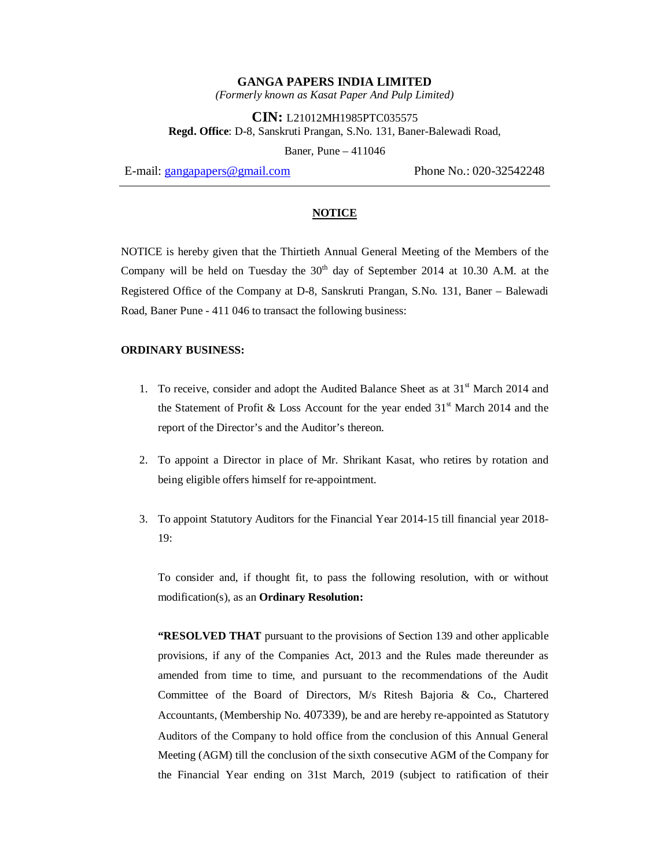*(Formerly known as Kasat Paper And Pulp Limited)*

**CIN:** L21012MH1985PTC035575 **Regd. Office**: D-8, Sanskruti Prangan, S.No. 131, Baner-Balewadi Road,

Baner, Pune – 411046

E-mail: gangapapers@gmail.com Phone No.: 020-32542248

#### **NOTICE**

NOTICE is hereby given that the Thirtieth Annual General Meeting of the Members of the Company will be held on Tuesday the  $30<sup>th</sup>$  day of September 2014 at 10.30 A.M. at the Registered Office of the Company at D-8, Sanskruti Prangan, S.No. 131, Baner – Balewadi Road, Baner Pune - 411 046 to transact the following business:

#### **ORDINARY BUSINESS:**

- 1. To receive, consider and adopt the Audited Balance Sheet as at  $31<sup>st</sup>$  March 2014 and the Statement of Profit & Loss Account for the year ended  $31<sup>st</sup>$  March 2014 and the report of the Director's and the Auditor's thereon.
- 2. To appoint a Director in place of Mr. Shrikant Kasat, who retires by rotation and being eligible offers himself for re-appointment.
- 3. To appoint Statutory Auditors for the Financial Year 2014-15 till financial year 2018- 19:

To consider and, if thought fit, to pass the following resolution, with or without modification(s), as an **Ordinary Resolution:**

**"RESOLVED THAT** pursuant to the provisions of Section 139 and other applicable provisions, if any of the Companies Act, 2013 and the Rules made thereunder as amended from time to time, and pursuant to the recommendations of the Audit Committee of the Board of Directors, M/s Ritesh Bajoria & Co**.**, Chartered Accountants, (Membership No. 407339), be and are hereby re-appointed as Statutory Auditors of the Company to hold office from the conclusion of this Annual General Meeting (AGM) till the conclusion of the sixth consecutive AGM of the Company for the Financial Year ending on 31st March, 2019 (subject to ratification of their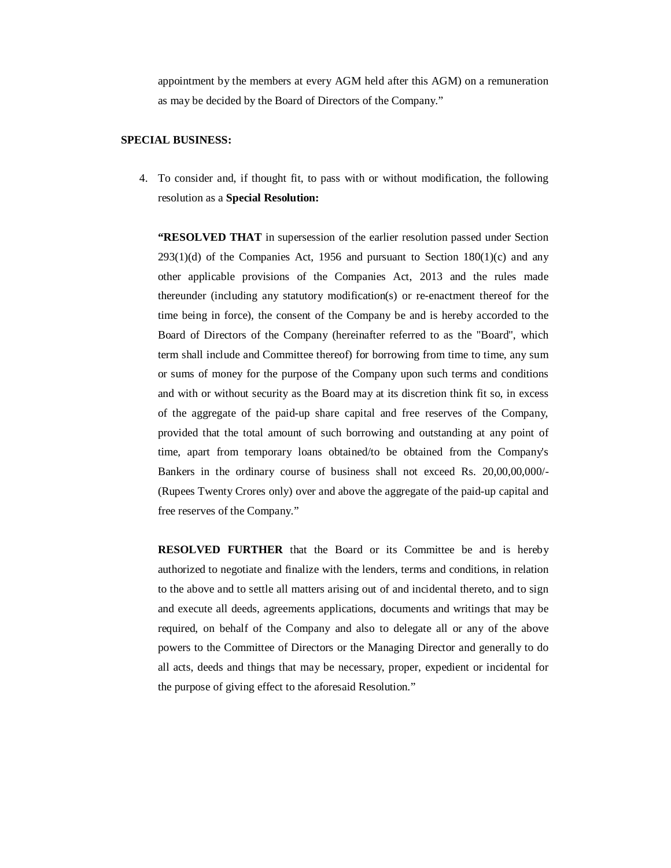appointment by the members at every AGM held after this AGM) on a remuneration as may be decided by the Board of Directors of the Company."

#### **SPECIAL BUSINESS:**

4. To consider and, if thought fit, to pass with or without modification, the following resolution as a **Special Resolution:**

**"RESOLVED THAT** in supersession of the earlier resolution passed under Section  $293(1)(d)$  of the Companies Act, 1956 and pursuant to Section 180(1)(c) and any other applicable provisions of the Companies Act, 2013 and the rules made thereunder (including any statutory modification(s) or re-enactment thereof for the time being in force), the consent of the Company be and is hereby accorded to the Board of Directors of the Company (hereinafter referred to as the "Board", which term shall include and Committee thereof) for borrowing from time to time, any sum or sums of money for the purpose of the Company upon such terms and conditions and with or without security as the Board may at its discretion think fit so, in excess of the aggregate of the paid-up share capital and free reserves of the Company, provided that the total amount of such borrowing and outstanding at any point of time, apart from temporary loans obtained/to be obtained from the Company's Bankers in the ordinary course of business shall not exceed Rs. 20,00,00,000/- (Rupees Twenty Crores only) over and above the aggregate of the paid-up capital and free reserves of the Company."

**RESOLVED FURTHER** that the Board or its Committee be and is hereby authorized to negotiate and finalize with the lenders, terms and conditions, in relation to the above and to settle all matters arising out of and incidental thereto, and to sign and execute all deeds, agreements applications, documents and writings that may be required, on behalf of the Company and also to delegate all or any of the above powers to the Committee of Directors or the Managing Director and generally to do all acts, deeds and things that may be necessary, proper, expedient or incidental for the purpose of giving effect to the aforesaid Resolution."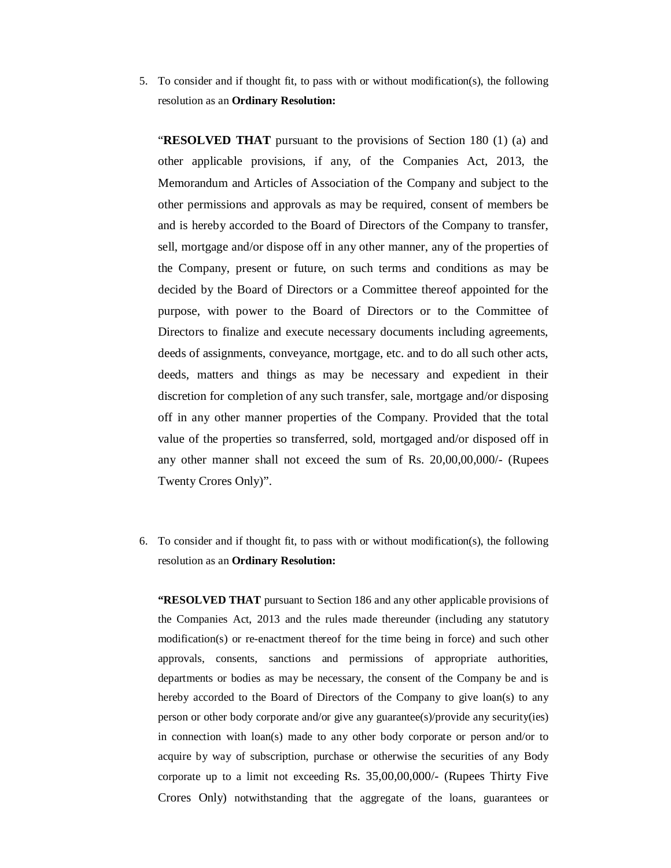5. To consider and if thought fit, to pass with or without modification(s), the following resolution as an **Ordinary Resolution:**

"**RESOLVED THAT** pursuant to the provisions of Section 180 (1) (a) and other applicable provisions, if any, of the Companies Act, 2013, the Memorandum and Articles of Association of the Company and subject to the other permissions and approvals as may be required, consent of members be and is hereby accorded to the Board of Directors of the Company to transfer, sell, mortgage and/or dispose off in any other manner, any of the properties of the Company, present or future, on such terms and conditions as may be decided by the Board of Directors or a Committee thereof appointed for the purpose, with power to the Board of Directors or to the Committee of Directors to finalize and execute necessary documents including agreements, deeds of assignments, conveyance, mortgage, etc. and to do all such other acts, deeds, matters and things as may be necessary and expedient in their discretion for completion of any such transfer, sale, mortgage and/or disposing off in any other manner properties of the Company. Provided that the total value of the properties so transferred, sold, mortgaged and/or disposed off in any other manner shall not exceed the sum of Rs. 20,00,00,000/- (Rupees Twenty Crores Only)".

6. To consider and if thought fit, to pass with or without modification(s), the following resolution as an **Ordinary Resolution:**

**"RESOLVED THAT** pursuant to Section 186 and any other applicable provisions of the Companies Act, 2013 and the rules made thereunder (including any statutory modification(s) or re-enactment thereof for the time being in force) and such other approvals, consents, sanctions and permissions of appropriate authorities, departments or bodies as may be necessary, the consent of the Company be and is hereby accorded to the Board of Directors of the Company to give loan(s) to any person or other body corporate and/or give any guarantee(s)/provide any security(ies) in connection with loan(s) made to any other body corporate or person and/or to acquire by way of subscription, purchase or otherwise the securities of any Body corporate up to a limit not exceeding Rs. 35,00,00,000/- (Rupees Thirty Five Crores Only) notwithstanding that the aggregate of the loans, guarantees or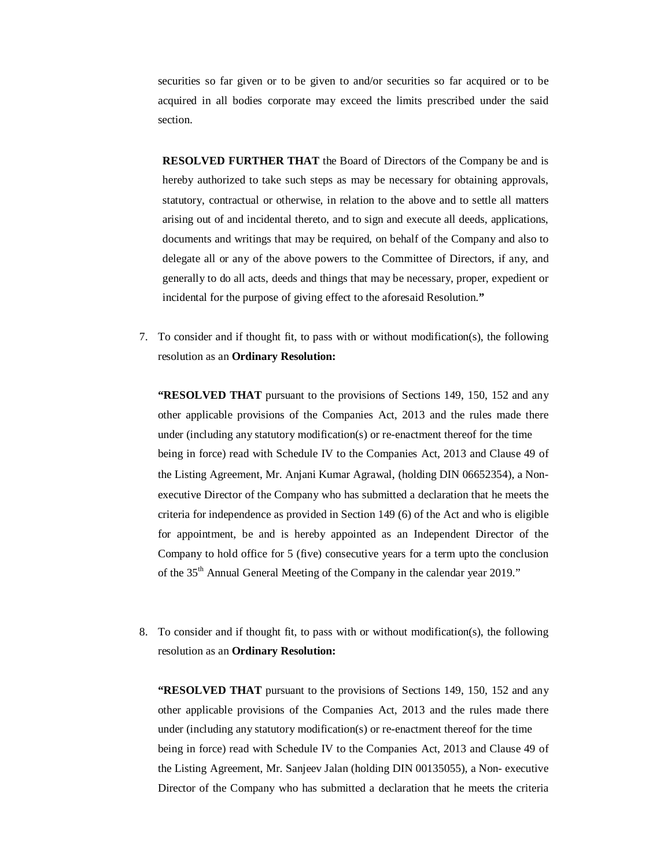securities so far given or to be given to and/or securities so far acquired or to be acquired in all bodies corporate may exceed the limits prescribed under the said section.

**RESOLVED FURTHER THAT** the Board of Directors of the Company be and is hereby authorized to take such steps as may be necessary for obtaining approvals, statutory, contractual or otherwise, in relation to the above and to settle all matters arising out of and incidental thereto, and to sign and execute all deeds, applications, documents and writings that may be required, on behalf of the Company and also to delegate all or any of the above powers to the Committee of Directors, if any, and generally to do all acts, deeds and things that may be necessary, proper, expedient or incidental for the purpose of giving effect to the aforesaid Resolution.**"**

7. To consider and if thought fit, to pass with or without modification(s), the following resolution as an **Ordinary Resolution:**

**"RESOLVED THAT** pursuant to the provisions of Sections 149, 150, 152 and any other applicable provisions of the Companies Act, 2013 and the rules made there under (including any statutory modification(s) or re-enactment thereof for the time being in force) read with Schedule IV to the Companies Act, 2013 and Clause 49 of the Listing Agreement, Mr. Anjani Kumar Agrawal, (holding DIN 06652354), a Nonexecutive Director of the Company who has submitted a declaration that he meets the criteria for independence as provided in Section 149 (6) of the Act and who is eligible for appointment, be and is hereby appointed as an Independent Director of the Company to hold office for 5 (five) consecutive years for a term upto the conclusion of the 35th Annual General Meeting of the Company in the calendar year 2019."

8. To consider and if thought fit, to pass with or without modification(s), the following resolution as an **Ordinary Resolution:**

**"RESOLVED THAT** pursuant to the provisions of Sections 149, 150, 152 and any other applicable provisions of the Companies Act, 2013 and the rules made there under (including any statutory modification(s) or re-enactment thereof for the time being in force) read with Schedule IV to the Companies Act, 2013 and Clause 49 of the Listing Agreement, Mr. Sanjeev Jalan (holding DIN 00135055), a Non- executive Director of the Company who has submitted a declaration that he meets the criteria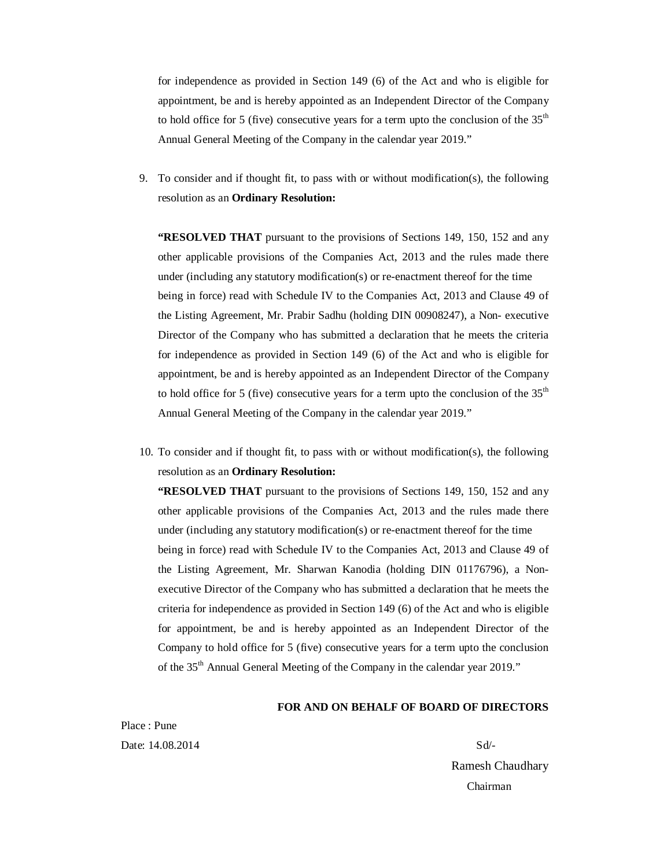for independence as provided in Section 149 (6) of the Act and who is eligible for appointment, be and is hereby appointed as an Independent Director of the Company to hold office for 5 (five) consecutive years for a term upto the conclusion of the  $35<sup>th</sup>$ Annual General Meeting of the Company in the calendar year 2019."

9. To consider and if thought fit, to pass with or without modification(s), the following resolution as an **Ordinary Resolution:**

**"RESOLVED THAT** pursuant to the provisions of Sections 149, 150, 152 and any other applicable provisions of the Companies Act, 2013 and the rules made there under (including any statutory modification(s) or re-enactment thereof for the time being in force) read with Schedule IV to the Companies Act, 2013 and Clause 49 of the Listing Agreement, Mr. Prabir Sadhu (holding DIN 00908247), a Non- executive Director of the Company who has submitted a declaration that he meets the criteria for independence as provided in Section 149 (6) of the Act and who is eligible for appointment, be and is hereby appointed as an Independent Director of the Company to hold office for 5 (five) consecutive years for a term upto the conclusion of the  $35<sup>th</sup>$ Annual General Meeting of the Company in the calendar year 2019."

10. To consider and if thought fit, to pass with or without modification(s), the following resolution as an **Ordinary Resolution:**

**"RESOLVED THAT** pursuant to the provisions of Sections 149, 150, 152 and any other applicable provisions of the Companies Act, 2013 and the rules made there under (including any statutory modification(s) or re-enactment thereof for the time being in force) read with Schedule IV to the Companies Act, 2013 and Clause 49 of the Listing Agreement, Mr. Sharwan Kanodia (holding DIN 01176796), a Nonexecutive Director of the Company who has submitted a declaration that he meets the criteria for independence as provided in Section 149 (6) of the Act and who is eligible for appointment, be and is hereby appointed as an Independent Director of the Company to hold office for 5 (five) consecutive years for a term upto the conclusion of the 35<sup>th</sup> Annual General Meeting of the Company in the calendar year 2019."

#### **FOR AND ON BEHALF OF BOARD OF DIRECTORS**

Place : Pune Date:  $14.08.2014$  Sd<sup> $\frac{1}{2}$ </sup>

Ramesh Chaudhary Chairman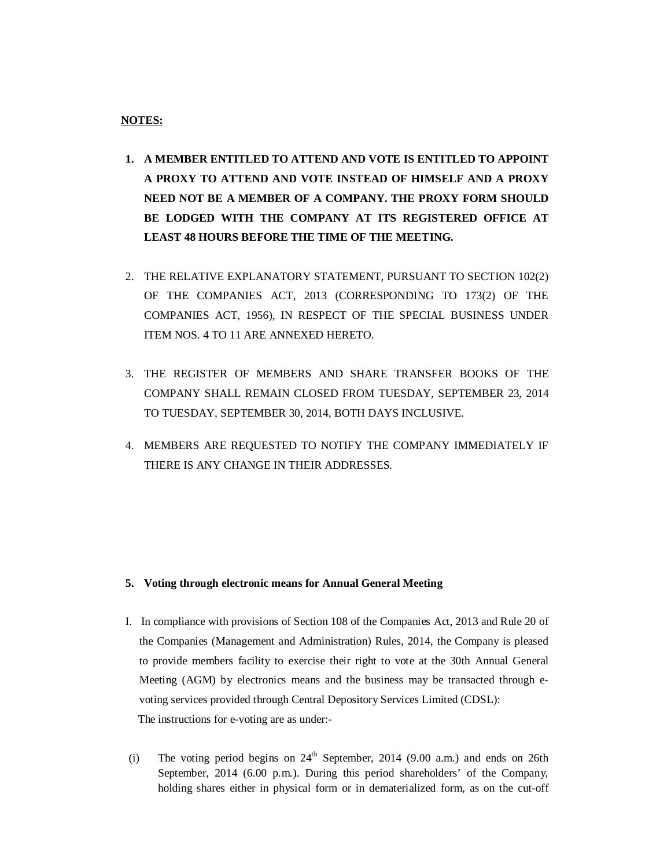## **NOTES:**

- **1. A MEMBER ENTITLED TO ATTEND AND VOTE IS ENTITLED TO APPOINT A PROXY TO ATTEND AND VOTE INSTEAD OF HIMSELF AND A PROXY NEED NOT BE A MEMBER OF A COMPANY. THE PROXY FORM SHOULD BE LODGED WITH THE COMPANY AT ITS REGISTERED OFFICE AT LEAST 48 HOURS BEFORE THE TIME OF THE MEETING.**
- 2. THE RELATIVE EXPLANATORY STATEMENT, PURSUANT TO SECTION 102(2) OF THE COMPANIES ACT, 2013 (CORRESPONDING TO 173(2) OF THE COMPANIES ACT, 1956), IN RESPECT OF THE SPECIAL BUSINESS UNDER ITEM NOS. 4 TO 11 ARE ANNEXED HERETO.
- 3. THE REGISTER OF MEMBERS AND SHARE TRANSFER BOOKS OF THE COMPANY SHALL REMAIN CLOSED FROM TUESDAY, SEPTEMBER 23, 2014 TO TUESDAY, SEPTEMBER 30, 2014, BOTH DAYS INCLUSIVE.
- 4. MEMBERS ARE REQUESTED TO NOTIFY THE COMPANY IMMEDIATELY IF THERE IS ANY CHANGE IN THEIR ADDRESSES.

#### **5. Voting through electronic means for Annual General Meeting**

- I. In compliance with provisions of Section 108 of the Companies Act, 2013 and Rule 20 of the Companies (Management and Administration) Rules, 2014, the Company is pleased to provide members facility to exercise their right to vote at the 30th Annual General Meeting (AGM) by electronics means and the business may be transacted through evoting services provided through Central Depository Services Limited (CDSL): The instructions for e-voting are as under:-
- (i) The voting period begins on  $24<sup>th</sup>$  September, 2014 (9.00 a.m.) and ends on 26th September, 2014 (6.00 p.m.). During this period shareholders' of the Company, holding shares either in physical form or in dematerialized form, as on the cut-off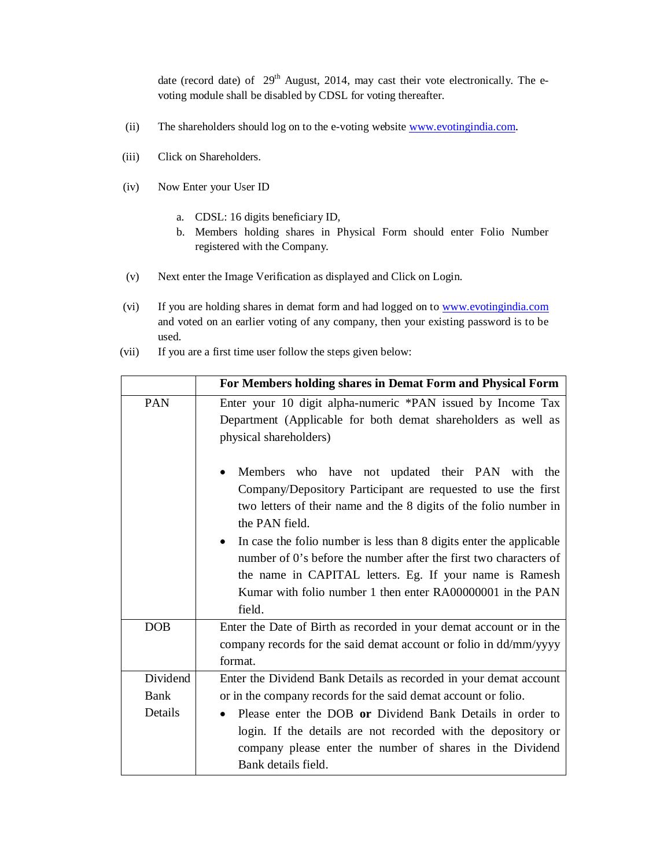date (record date) of 29<sup>th</sup> August, 2014, may cast their vote electronically. The evoting module shall be disabled by CDSL for voting thereafter.

- (ii) The shareholders should log on to the e-voting website www.evotingindia.com.
- (iii) Click on Shareholders.
- (iv) Now Enter your User ID
	- a. CDSL: 16 digits beneficiary ID,
	- b. Members holding shares in Physical Form should enter Folio Number registered with the Company.
- (v) Next enter the Image Verification as displayed and Click on Login.
- (vi) If you are holding shares in demat form and had logged on to www.evotingindia.com and voted on an earlier voting of any company, then your existing password is to be used.
- (vii) If you are a first time user follow the steps given below:

|            | For Members holding shares in Demat Form and Physical Form                          |  |  |  |
|------------|-------------------------------------------------------------------------------------|--|--|--|
| PAN        | Enter your 10 digit alpha-numeric *PAN issued by Income Tax                         |  |  |  |
|            | Department (Applicable for both demat shareholders as well as                       |  |  |  |
|            | physical shareholders)                                                              |  |  |  |
|            | Members who have not updated their PAN with the                                     |  |  |  |
|            | Company/Depository Participant are requested to use the first                       |  |  |  |
|            | two letters of their name and the 8 digits of the folio number in<br>the PAN field. |  |  |  |
|            | In case the folio number is less than 8 digits enter the applicable                 |  |  |  |
|            | number of 0's before the number after the first two characters of                   |  |  |  |
|            | the name in CAPITAL letters. Eg. If your name is Ramesh                             |  |  |  |
|            | Kumar with folio number 1 then enter RA00000001 in the PAN                          |  |  |  |
|            | field.                                                                              |  |  |  |
| <b>DOB</b> | Enter the Date of Birth as recorded in your demat account or in the                 |  |  |  |
|            | company records for the said demat account or folio in dd/mm/yyyy                   |  |  |  |
|            | format.                                                                             |  |  |  |
| Dividend   | Enter the Dividend Bank Details as recorded in your demat account                   |  |  |  |
| Bank       | or in the company records for the said demat account or folio.                      |  |  |  |
| Details    | Please enter the DOB or Dividend Bank Details in order to                           |  |  |  |
|            | login. If the details are not recorded with the depository or                       |  |  |  |
|            | company please enter the number of shares in the Dividend                           |  |  |  |
|            | Bank details field.                                                                 |  |  |  |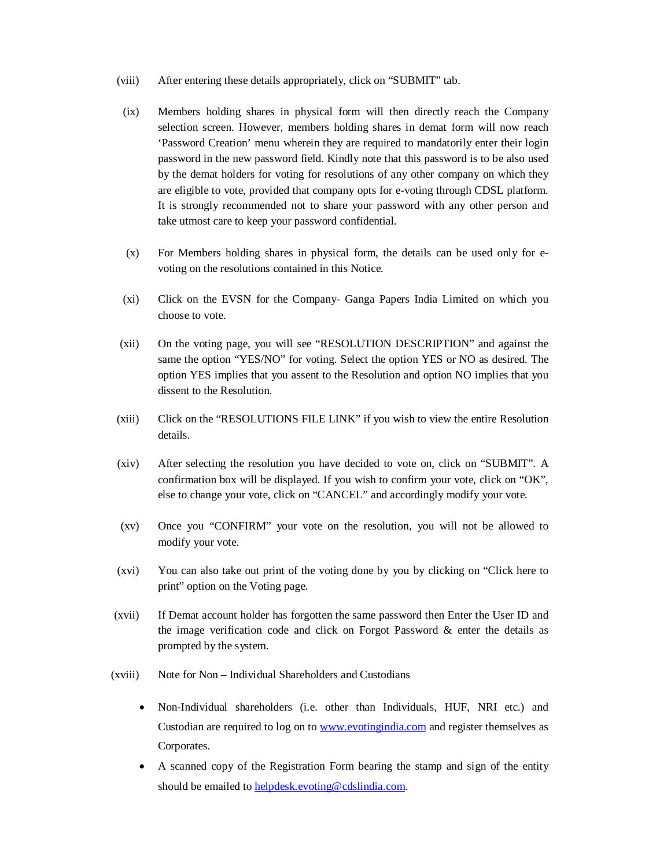- (viii) After entering these details appropriately, click on "SUBMIT" tab.
- (ix) Members holding shares in physical form will then directly reach the Company selection screen. However, members holding shares in demat form will now reach 'Password Creation' menu wherein they are required to mandatorily enter their login password in the new password field. Kindly note that this password is to be also used by the demat holders for voting for resolutions of any other company on which they are eligible to vote, provided that company opts for e-voting through CDSL platform. It is strongly recommended not to share your password with any other person and take utmost care to keep your password confidential.
- (x) For Members holding shares in physical form, the details can be used only for evoting on the resolutions contained in this Notice.
- (xi) Click on the EVSN for the Company- Ganga Papers India Limited on which you choose to vote.
- (xii) On the voting page, you will see "RESOLUTION DESCRIPTION" and against the same the option "YES/NO" for voting. Select the option YES or NO as desired. The option YES implies that you assent to the Resolution and option NO implies that you dissent to the Resolution.
- (xiii) Click on the "RESOLUTIONS FILE LINK" if you wish to view the entire Resolution details.
- (xiv) After selecting the resolution you have decided to vote on, click on "SUBMIT". A confirmation box will be displayed. If you wish to confirm your vote, click on "OK", else to change your vote, click on "CANCEL" and accordingly modify your vote.
- (xv) Once you "CONFIRM" your vote on the resolution, you will not be allowed to modify your vote.
- (xvi) You can also take out print of the voting done by you by clicking on "Click here to print" option on the Voting page.
- (xvii) If Demat account holder has forgotten the same password then Enter the User ID and the image verification code and click on Forgot Password & enter the details as prompted by the system.
- (xviii) Note for Non Individual Shareholders and Custodians
	- Non-Individual shareholders (i.e. other than Individuals, HUF, NRI etc.) and Custodian are required to log on to www.evotingindia.com and register themselves as Corporates.
	- A scanned copy of the Registration Form bearing the stamp and sign of the entity should be emailed to helpdesk.evoting@cdslindia.com.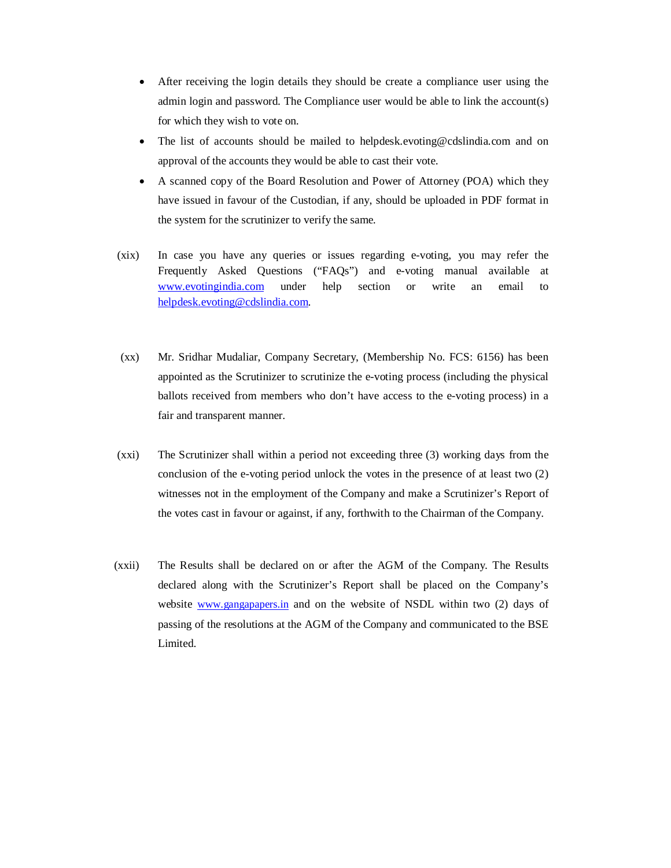- After receiving the login details they should be create a compliance user using the admin login and password. The Compliance user would be able to link the account(s) for which they wish to vote on.
- The list of accounts should be mailed to helpdesk.evoting@cdslindia.com and on approval of the accounts they would be able to cast their vote.
- A scanned copy of the Board Resolution and Power of Attorney (POA) which they have issued in favour of the Custodian, if any, should be uploaded in PDF format in the system for the scrutinizer to verify the same.
- (xix) In case you have any queries or issues regarding e-voting, you may refer the Frequently Asked Questions ("FAQs") and e-voting manual available at www.evotingindia.com under help section or write an email to helpdesk.evoting@cdslindia.com.
- (xx) Mr. Sridhar Mudaliar, Company Secretary, (Membership No. FCS: 6156) has been appointed as the Scrutinizer to scrutinize the e-voting process (including the physical ballots received from members who don't have access to the e-voting process) in a fair and transparent manner.
- (xxi) The Scrutinizer shall within a period not exceeding three (3) working days from the conclusion of the e-voting period unlock the votes in the presence of at least two (2) witnesses not in the employment of the Company and make a Scrutinizer's Report of the votes cast in favour or against, if any, forthwith to the Chairman of the Company.
- (xxii) The Results shall be declared on or after the AGM of the Company. The Results declared along with the Scrutinizer's Report shall be placed on the Company's website www.gangapapers.in and on the website of NSDL within two (2) days of passing of the resolutions at the AGM of the Company and communicated to the BSE Limited.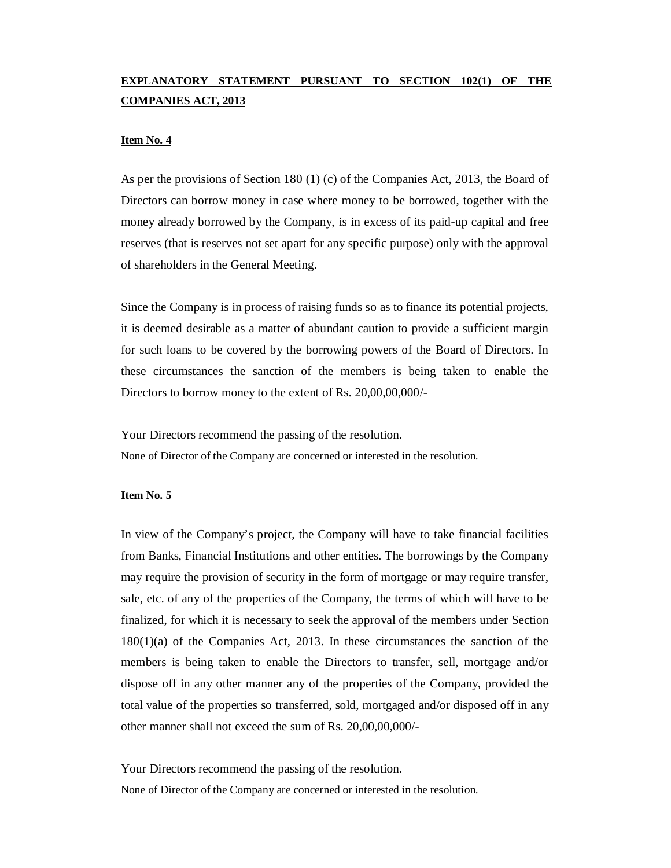# **EXPLANATORY STATEMENT PURSUANT TO SECTION 102(1) OF THE COMPANIES ACT, 2013**

#### **Item No. 4**

As per the provisions of Section 180 (1) (c) of the Companies Act, 2013, the Board of Directors can borrow money in case where money to be borrowed, together with the money already borrowed by the Company, is in excess of its paid-up capital and free reserves (that is reserves not set apart for any specific purpose) only with the approval of shareholders in the General Meeting.

Since the Company is in process of raising funds so as to finance its potential projects, it is deemed desirable as a matter of abundant caution to provide a sufficient margin for such loans to be covered by the borrowing powers of the Board of Directors. In these circumstances the sanction of the members is being taken to enable the Directors to borrow money to the extent of Rs. 20,00,00,000/-

Your Directors recommend the passing of the resolution. None of Director of the Company are concerned or interested in the resolution.

## **Item No. 5**

In view of the Company's project, the Company will have to take financial facilities from Banks, Financial Institutions and other entities. The borrowings by the Company may require the provision of security in the form of mortgage or may require transfer, sale, etc. of any of the properties of the Company, the terms of which will have to be finalized, for which it is necessary to seek the approval of the members under Section 180(1)(a) of the Companies Act, 2013. In these circumstances the sanction of the members is being taken to enable the Directors to transfer, sell, mortgage and/or dispose off in any other manner any of the properties of the Company, provided the total value of the properties so transferred, sold, mortgaged and/or disposed off in any other manner shall not exceed the sum of Rs. 20,00,00,000/-

Your Directors recommend the passing of the resolution.

None of Director of the Company are concerned or interested in the resolution.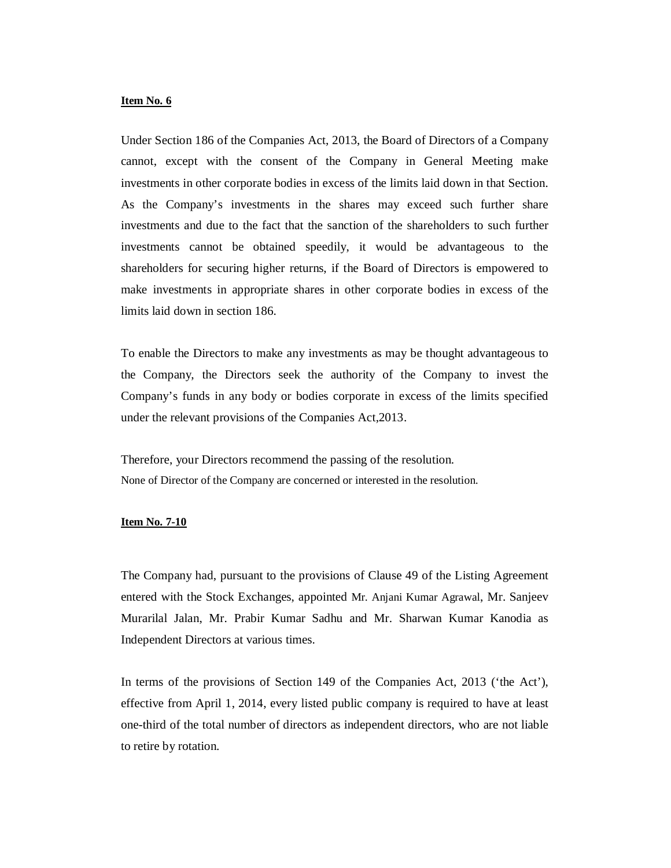#### **Item No. 6**

Under Section 186 of the Companies Act, 2013, the Board of Directors of a Company cannot, except with the consent of the Company in General Meeting make investments in other corporate bodies in excess of the limits laid down in that Section. As the Company's investments in the shares may exceed such further share investments and due to the fact that the sanction of the shareholders to such further investments cannot be obtained speedily, it would be advantageous to the shareholders for securing higher returns, if the Board of Directors is empowered to make investments in appropriate shares in other corporate bodies in excess of the limits laid down in section 186.

To enable the Directors to make any investments as may be thought advantageous to the Company, the Directors seek the authority of the Company to invest the Company's funds in any body or bodies corporate in excess of the limits specified under the relevant provisions of the Companies Act,2013.

Therefore, your Directors recommend the passing of the resolution. None of Director of the Company are concerned or interested in the resolution.

#### **Item No. 7-10**

The Company had, pursuant to the provisions of Clause 49 of the Listing Agreement entered with the Stock Exchanges, appointed Mr. Anjani Kumar Agrawal, Mr. Sanjeev Murarilal Jalan, Mr. Prabir Kumar Sadhu and Mr. Sharwan Kumar Kanodia as Independent Directors at various times.

In terms of the provisions of Section 149 of the Companies Act, 2013 ('the Act'), effective from April 1, 2014, every listed public company is required to have at least one-third of the total number of directors as independent directors, who are not liable to retire by rotation.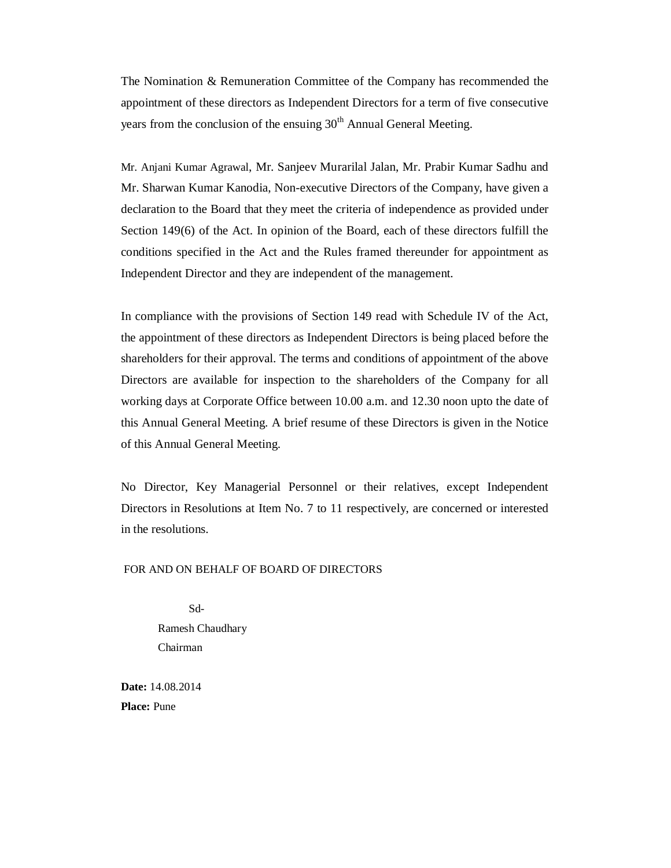The Nomination & Remuneration Committee of the Company has recommended the appointment of these directors as Independent Directors for a term of five consecutive years from the conclusion of the ensuing  $30<sup>th</sup>$  Annual General Meeting.

Mr. Anjani Kumar Agrawal, Mr. Sanjeev Murarilal Jalan, Mr. Prabir Kumar Sadhu and Mr. Sharwan Kumar Kanodia, Non-executive Directors of the Company, have given a declaration to the Board that they meet the criteria of independence as provided under Section 149(6) of the Act. In opinion of the Board, each of these directors fulfill the conditions specified in the Act and the Rules framed thereunder for appointment as Independent Director and they are independent of the management.

In compliance with the provisions of Section 149 read with Schedule IV of the Act, the appointment of these directors as Independent Directors is being placed before the shareholders for their approval. The terms and conditions of appointment of the above Directors are available for inspection to the shareholders of the Company for all working days at Corporate Office between 10.00 a.m. and 12.30 noon upto the date of this Annual General Meeting. A brief resume of these Directors is given in the Notice of this Annual General Meeting.

No Director, Key Managerial Personnel or their relatives, except Independent Directors in Resolutions at Item No. 7 to 11 respectively, are concerned or interested in the resolutions.

### FOR AND ON BEHALF OF BOARD OF DIRECTORS

 Sd-Ramesh Chaudhary Chairman

**Date:** 14.08.2014 **Place:** Pune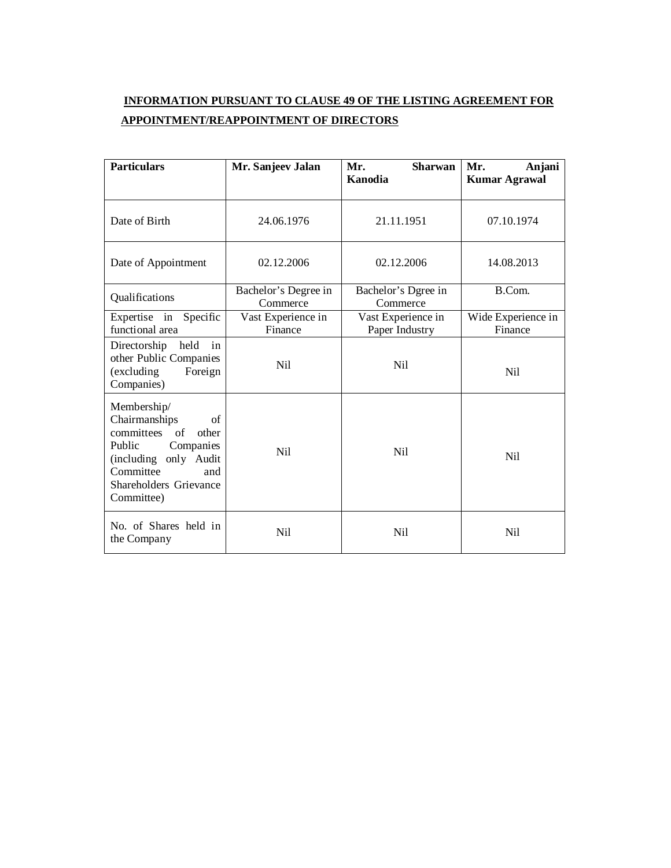# **INFORMATION PURSUANT TO CLAUSE 49 OF THE LISTING AGREEMENT FOR APPOINTMENT/REAPPOINTMENT OF DIRECTORS**

| <b>Particulars</b>                                                                                                                                                          | Mr. Sanjeev Jalan                                                     | Mr.<br><b>Sharwan</b><br>Kanodia | Mr.<br>Anjani<br><b>Kumar Agrawal</b> |
|-----------------------------------------------------------------------------------------------------------------------------------------------------------------------------|-----------------------------------------------------------------------|----------------------------------|---------------------------------------|
| Date of Birth                                                                                                                                                               | 24.06.1976                                                            | 21.11.1951                       | 07.10.1974                            |
| Date of Appointment                                                                                                                                                         | 02.12.2006                                                            | 02.12.2006                       | 14.08.2013                            |
| Qualifications                                                                                                                                                              | Bachelor's Degree in<br>Commerce                                      | Bachelor's Dgree in<br>Commerce  | B.Com.                                |
| Expertise in<br>Specific<br>functional area                                                                                                                                 | Vast Experience in<br>Vast Experience in<br>Finance<br>Paper Industry |                                  | Wide Experience in<br>Finance         |
| Directorship held<br>in<br>other Public Companies<br>(excluding<br>Foreign<br>Companies)                                                                                    | Nil                                                                   | Ni1                              | Nil                                   |
| Membership/<br>Chairmanships<br>of<br>of<br>committees<br>other<br>Public<br>Companies<br>(including only Audit<br>Committee<br>and<br>Shareholders Grievance<br>Committee) | Nil                                                                   | Ni1                              | N <sub>i</sub>                        |
| No. of Shares held in<br>the Company                                                                                                                                        | Nil                                                                   | Ni1                              | Nil                                   |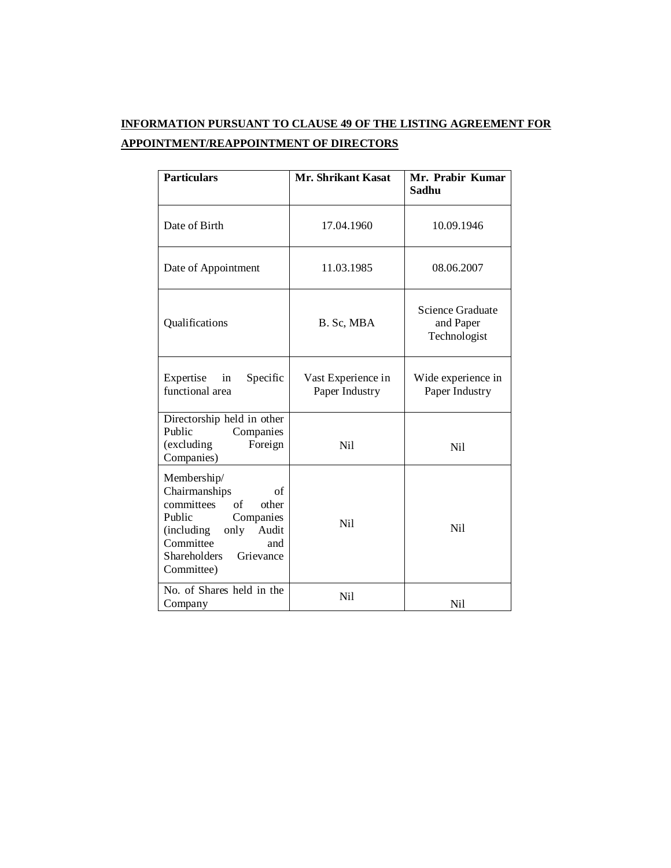# **INFORMATION PURSUANT TO CLAUSE 49 OF THE LISTING AGREEMENT FOR APPOINTMENT/REAPPOINTMENT OF DIRECTORS**

| <b>Particulars</b>                                                                                                                                                                                       | <b>Mr. Shrikant Kasat</b>            | Mr. Prabir Kumar<br>Sadhu                     |
|----------------------------------------------------------------------------------------------------------------------------------------------------------------------------------------------------------|--------------------------------------|-----------------------------------------------|
| Date of Birth                                                                                                                                                                                            | 17.04.1960                           | 10.09.1946                                    |
| Date of Appointment                                                                                                                                                                                      | 11.03.1985                           | 08.06.2007                                    |
| Qualifications                                                                                                                                                                                           | B. Sc, MBA                           | Science Graduate<br>and Paper<br>Technologist |
| Expertise<br>Specific<br>in<br>functional area                                                                                                                                                           | Vast Experience in<br>Paper Industry | Wide experience in<br>Paper Industry          |
| Directorship held in other<br>Public<br>Companies<br>(excluding<br>Foreign<br>Companies)                                                                                                                 | Ni1                                  | Ni1                                           |
| Membership/<br>Chairmanships<br>of<br>committees<br>$\sigma$ f<br>other<br>Public<br>Companies<br><i>(including)</i><br>only Audit<br>Committee<br>and<br><b>Shareholders</b><br>Grievance<br>Committee) | Ni1                                  | Ni1                                           |
| No. of Shares held in the<br>Company                                                                                                                                                                     | Nil                                  | Nil                                           |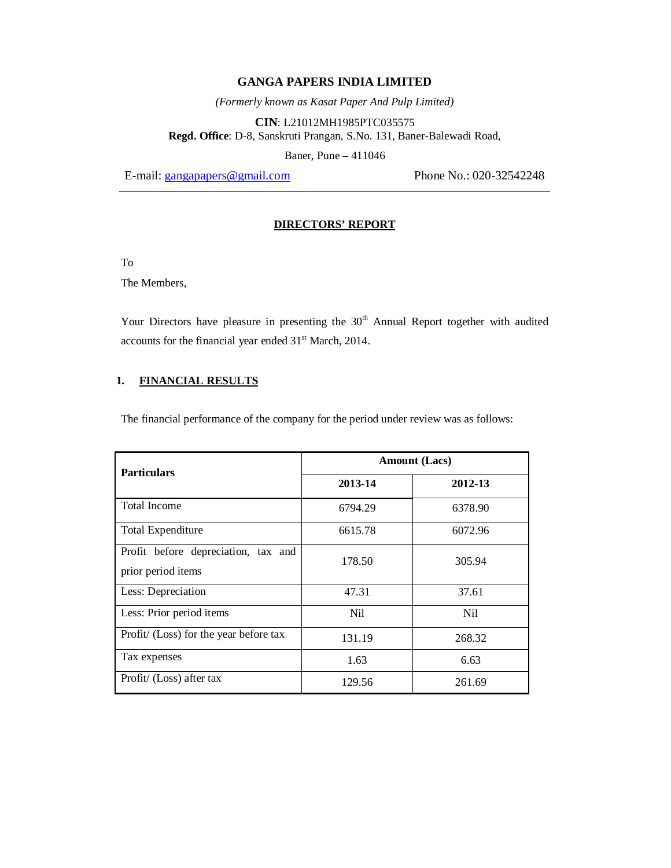*(Formerly known as Kasat Paper And Pulp Limited)*

**CIN**: L21012MH1985PTC035575 **Regd. Office**: D-8, Sanskruti Prangan, S.No. 131, Baner-Balewadi Road,

Baner, Pune – 411046

E-mail: gangapapers@gmail.com Phone No.: 020-32542248

### **DIRECTORS' REPORT**

To

The Members,

Your Directors have pleasure in presenting the 30<sup>th</sup> Annual Report together with audited accounts for the financial year ended 31<sup>st</sup> March, 2014.

## **1. FINANCIAL RESULTS**

The financial performance of the company for the period under review was as follows:

| <b>Particulars</b>                                        | <b>Amount</b> (Lacs) |         |
|-----------------------------------------------------------|----------------------|---------|
|                                                           | 2013-14              | 2012-13 |
| <b>Total Income</b>                                       | 6794.29              | 6378.90 |
| <b>Total Expenditure</b>                                  | 6615.78              | 6072.96 |
| Profit before depreciation, tax and<br>prior period items | 178.50               | 305.94  |
| Less: Depreciation                                        | 47.31                | 37.61   |
| Less: Prior period items                                  | Nil                  | Ni1     |
| Profit/ (Loss) for the year before tax                    | 131.19               | 268.32  |
| Tax expenses                                              | 1.63                 | 6.63    |
| Profit/ (Loss) after tax                                  | 129.56               | 261.69  |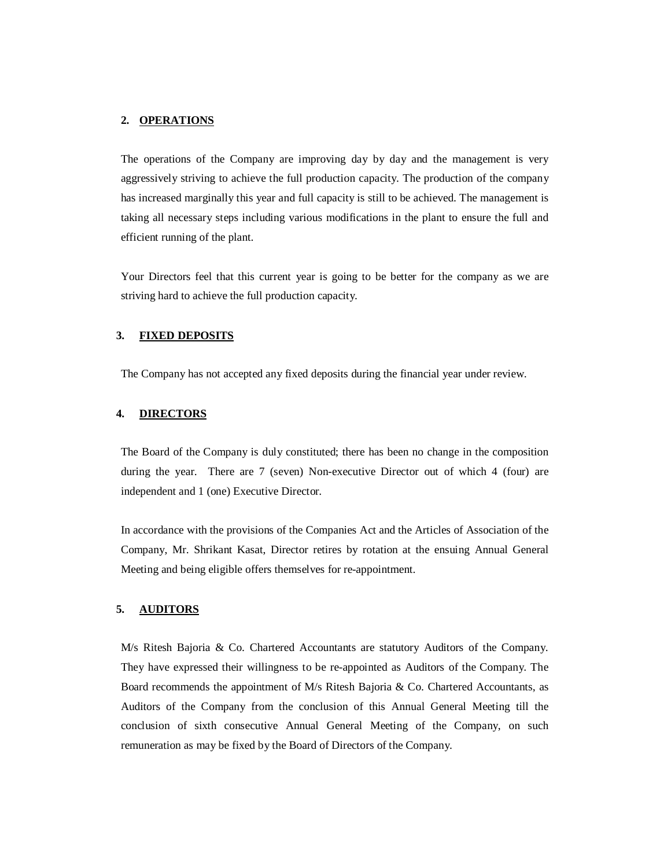#### **2. OPERATIONS**

The operations of the Company are improving day by day and the management is very aggressively striving to achieve the full production capacity. The production of the company has increased marginally this year and full capacity is still to be achieved. The management is taking all necessary steps including various modifications in the plant to ensure the full and efficient running of the plant.

Your Directors feel that this current year is going to be better for the company as we are striving hard to achieve the full production capacity.

#### **3. FIXED DEPOSITS**

The Company has not accepted any fixed deposits during the financial year under review.

#### **4. DIRECTORS**

The Board of the Company is duly constituted; there has been no change in the composition during the year. There are 7 (seven) Non-executive Director out of which 4 (four) are independent and 1 (one) Executive Director.

In accordance with the provisions of the Companies Act and the Articles of Association of the Company, Mr. Shrikant Kasat, Director retires by rotation at the ensuing Annual General Meeting and being eligible offers themselves for re-appointment.

### **5. AUDITORS**

M/s Ritesh Bajoria & Co. Chartered Accountants are statutory Auditors of the Company. They have expressed their willingness to be re-appointed as Auditors of the Company. The Board recommends the appointment of M/s Ritesh Bajoria & Co. Chartered Accountants, as Auditors of the Company from the conclusion of this Annual General Meeting till the conclusion of sixth consecutive Annual General Meeting of the Company, on such remuneration as may be fixed by the Board of Directors of the Company.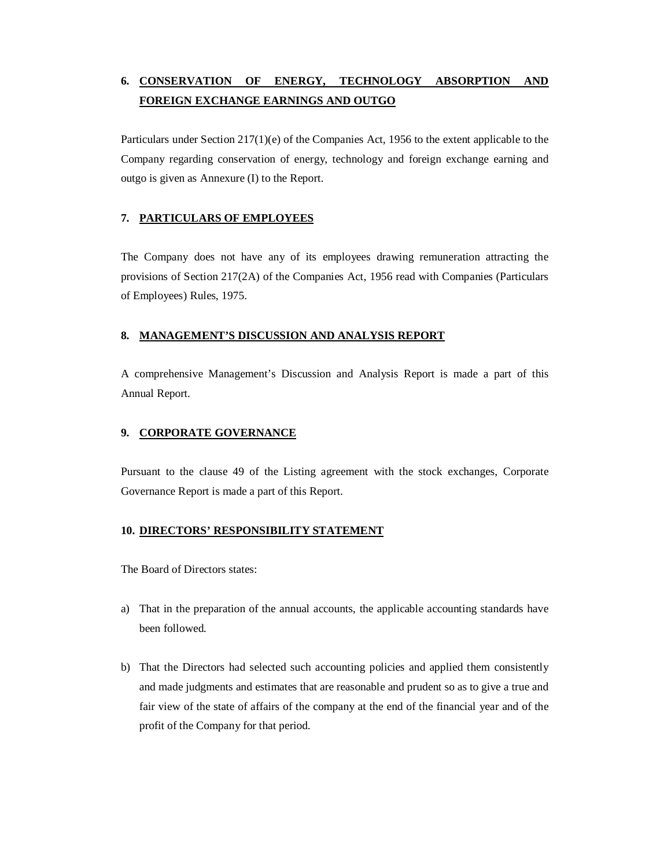# **6. CONSERVATION OF ENERGY, TECHNOLOGY ABSORPTION AND FOREIGN EXCHANGE EARNINGS AND OUTGO**

Particulars under Section 217(1)(e) of the Companies Act, 1956 to the extent applicable to the Company regarding conservation of energy, technology and foreign exchange earning and outgo is given as Annexure (I) to the Report.

# **7. PARTICULARS OF EMPLOYEES**

The Company does not have any of its employees drawing remuneration attracting the provisions of Section 217(2A) of the Companies Act, 1956 read with Companies (Particulars of Employees) Rules, 1975.

## **8. MANAGEMENT'S DISCUSSION AND ANALYSIS REPORT**

A comprehensive Management's Discussion and Analysis Report is made a part of this Annual Report.

## **9. CORPORATE GOVERNANCE**

Pursuant to the clause 49 of the Listing agreement with the stock exchanges, Corporate Governance Report is made a part of this Report.

# **10. DIRECTORS' RESPONSIBILITY STATEMENT**

The Board of Directors states:

- a) That in the preparation of the annual accounts, the applicable accounting standards have been followed.
- b) That the Directors had selected such accounting policies and applied them consistently and made judgments and estimates that are reasonable and prudent so as to give a true and fair view of the state of affairs of the company at the end of the financial year and of the profit of the Company for that period.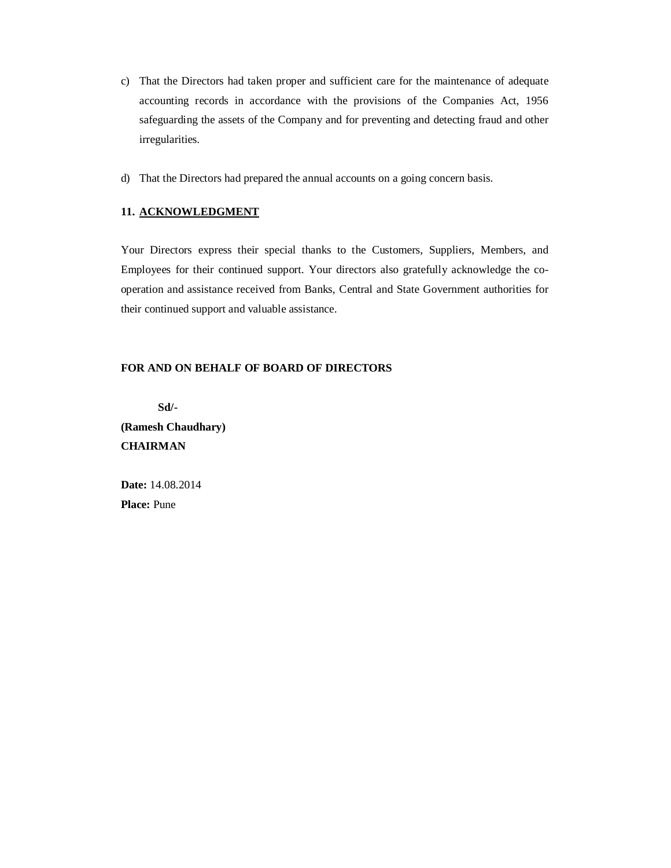- c) That the Directors had taken proper and sufficient care for the maintenance of adequate accounting records in accordance with the provisions of the Companies Act, 1956 safeguarding the assets of the Company and for preventing and detecting fraud and other irregularities.
- d) That the Directors had prepared the annual accounts on a going concern basis.

## **11. ACKNOWLEDGMENT**

Your Directors express their special thanks to the Customers, Suppliers, Members, and Employees for their continued support. Your directors also gratefully acknowledge the cooperation and assistance received from Banks, Central and State Government authorities for their continued support and valuable assistance.

### **FOR AND ON BEHALF OF BOARD OF DIRECTORS**

**Sd/- (Ramesh Chaudhary) CHAIRMAN**

**Date:** 14.08.2014 **Place:** Pune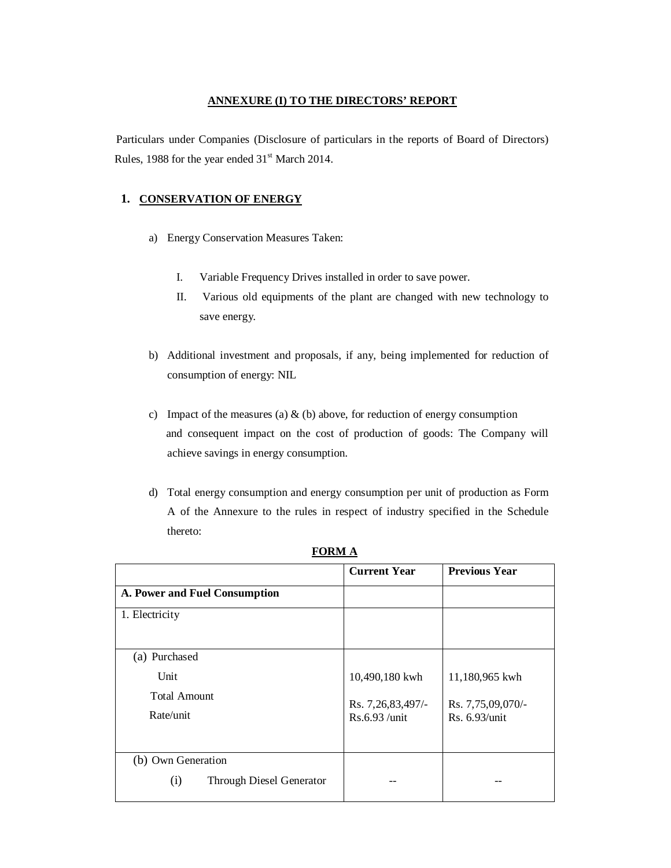#### **ANNEXURE (I) TO THE DIRECTORS' REPORT**

Particulars under Companies (Disclosure of particulars in the reports of Board of Directors) Rules, 1988 for the year ended  $31<sup>st</sup>$  March 2014.

# **1. CONSERVATION OF ENERGY**

- a) Energy Conservation Measures Taken:
	- I. Variable Frequency Drives installed in order to save power.
	- II. Various old equipments of the plant are changed with new technology to save energy.
- b) Additional investment and proposals, if any, being implemented for reduction of consumption of energy: NIL
- c) Impact of the measures (a)  $\&$  (b) above, for reduction of energy consumption and consequent impact on the cost of production of goods: The Company will achieve savings in energy consumption.
- d) Total energy consumption and energy consumption per unit of production as Form A of the Annexure to the rules in respect of industry specified in the Schedule thereto:

|                                        | <b>Current Year</b> | <b>Previous Year</b> |
|----------------------------------------|---------------------|----------------------|
| A. Power and Fuel Consumption          |                     |                      |
| 1. Electricity                         |                     |                      |
|                                        |                     |                      |
| (a) Purchased                          |                     |                      |
| Unit                                   | 10,490,180 kwh      | 11,180,965 kwh       |
| <b>Total Amount</b>                    | Rs. 7,26,83,497/-   | Rs. 7,75,09,070/-    |
| Rate/unit                              | Rs.6.93 /unit       | Rs. 6.93/unit        |
|                                        |                     |                      |
| (b) Own Generation                     |                     |                      |
| <b>Through Diesel Generator</b><br>(i) |                     |                      |

**FORM A**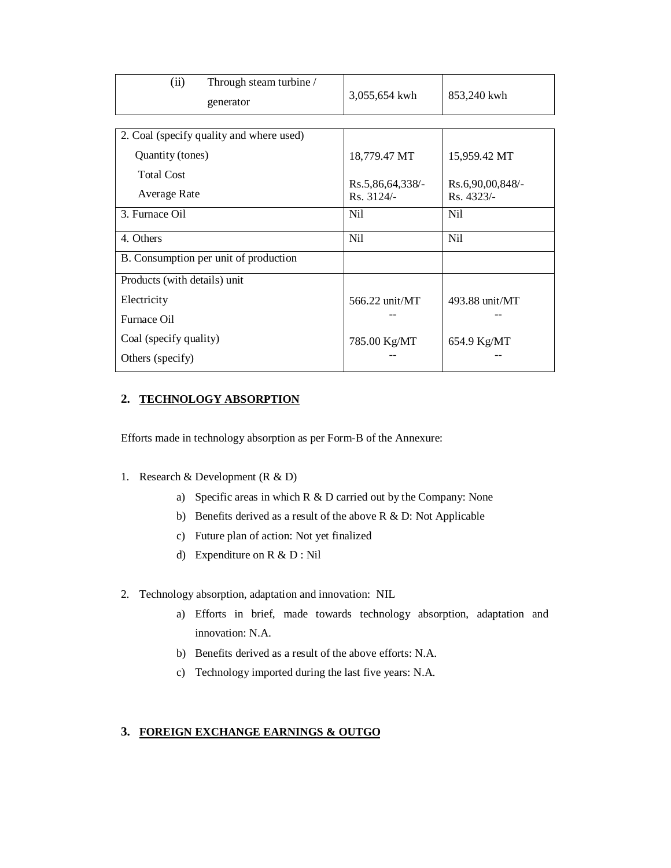| (ii)<br>Through steam turbine /<br>generator | 3,055,654 kwh                  | 853,240 kwh                    |
|----------------------------------------------|--------------------------------|--------------------------------|
|                                              |                                |                                |
| 2. Coal (specify quality and where used)     |                                |                                |
| Quantity (tones)                             | 18,779.47 MT                   | 15,959.42 MT                   |
| <b>Total Cost</b>                            |                                |                                |
| <b>Average Rate</b>                          | Rs.5,86,64,338/-<br>Rs. 3124/- | Rs.6,90,00,848/-<br>Rs. 4323/- |
| 3. Furnace Oil                               | Nil                            | Nil                            |
| 4. Others                                    | Nil                            | Nil                            |
| B. Consumption per unit of production        |                                |                                |
| Products (with details) unit                 |                                |                                |
| Electricity                                  | 566.22 unit/MT                 | 493.88 unit/MT                 |
| Furnace Oil                                  |                                |                                |
| Coal (specify quality)                       | 785.00 Kg/MT                   | 654.9 Kg/MT                    |
| Others (specify)                             |                                |                                |

## **2. TECHNOLOGY ABSORPTION**

Efforts made in technology absorption as per Form-B of the Annexure:

- 1. Research & Development (R & D)
	- a) Specific areas in which R & D carried out by the Company: None
	- b) Benefits derived as a result of the above R & D: Not Applicable
	- c) Future plan of action: Not yet finalized
	- d) Expenditure on R & D : Nil
- 2. Technology absorption, adaptation and innovation: NIL
	- a) Efforts in brief, made towards technology absorption, adaptation and innovation: N.A.
	- b) Benefits derived as a result of the above efforts: N.A.
	- c) Technology imported during the last five years: N.A.

### **3. FOREIGN EXCHANGE EARNINGS & OUTGO**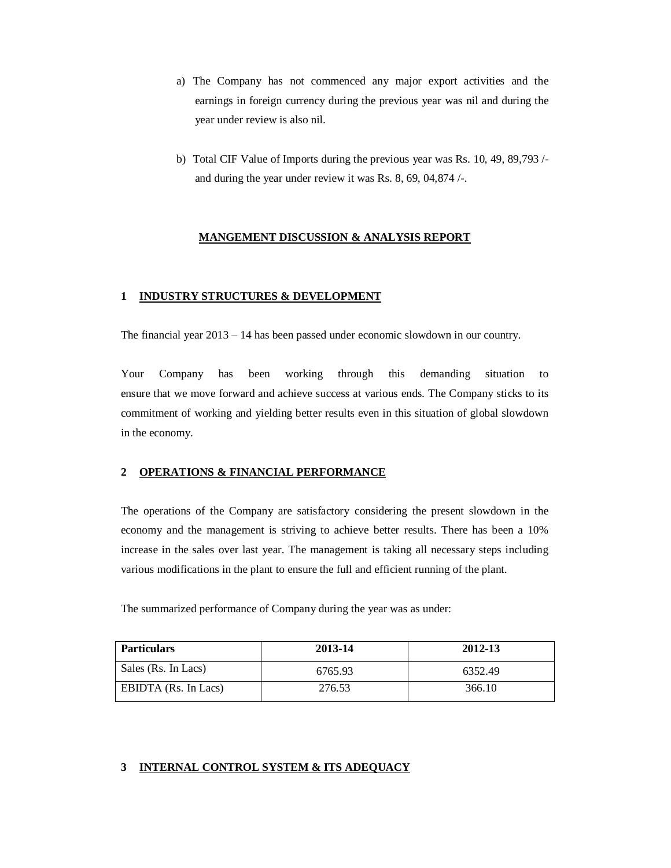- a) The Company has not commenced any major export activities and the earnings in foreign currency during the previous year was nil and during the year under review is also nil.
- b) Total CIF Value of Imports during the previous year was Rs. 10, 49, 89,793 / and during the year under review it was Rs. 8, 69, 04,874 /-.

#### **MANGEMENT DISCUSSION & ANALYSIS REPORT**

#### **1 INDUSTRY STRUCTURES & DEVELOPMENT**

The financial year 2013 – 14 has been passed under economic slowdown in our country.

Your Company has been working through this demanding situation to ensure that we move forward and achieve success at various ends. The Company sticks to its commitment of working and yielding better results even in this situation of global slowdown in the economy.

#### **2 OPERATIONS & FINANCIAL PERFORMANCE**

The operations of the Company are satisfactory considering the present slowdown in the economy and the management is striving to achieve better results. There has been a 10% increase in the sales over last year. The management is taking all necessary steps including various modifications in the plant to ensure the full and efficient running of the plant.

The summarized performance of Company during the year was as under:

| <b>Particulars</b>   | 2013-14 | 2012-13 |
|----------------------|---------|---------|
| Sales (Rs. In Lacs)  | 6765.93 | 6352.49 |
| EBIDTA (Rs. In Lacs) | 276.53  | 366.10  |

### **3 INTERNAL CONTROL SYSTEM & ITS ADEQUACY**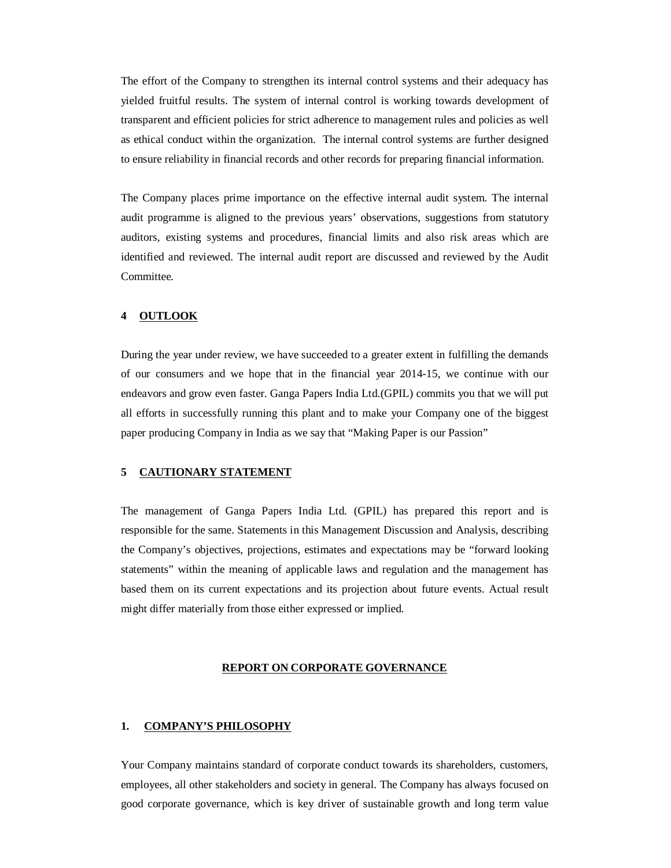The effort of the Company to strengthen its internal control systems and their adequacy has yielded fruitful results. The system of internal control is working towards development of transparent and efficient policies for strict adherence to management rules and policies as well as ethical conduct within the organization. The internal control systems are further designed to ensure reliability in financial records and other records for preparing financial information.

The Company places prime importance on the effective internal audit system. The internal audit programme is aligned to the previous years' observations, suggestions from statutory auditors, existing systems and procedures, financial limits and also risk areas which are identified and reviewed. The internal audit report are discussed and reviewed by the Audit Committee.

#### **4 OUTLOOK**

During the year under review, we have succeeded to a greater extent in fulfilling the demands of our consumers and we hope that in the financial year 2014-15, we continue with our endeavors and grow even faster. Ganga Papers India Ltd.(GPIL) commits you that we will put all efforts in successfully running this plant and to make your Company one of the biggest paper producing Company in India as we say that "Making Paper is our Passion"

## **5 CAUTIONARY STATEMENT**

The management of Ganga Papers India Ltd. (GPIL) has prepared this report and is responsible for the same. Statements in this Management Discussion and Analysis, describing the Company's objectives, projections, estimates and expectations may be "forward looking statements" within the meaning of applicable laws and regulation and the management has based them on its current expectations and its projection about future events. Actual result might differ materially from those either expressed or implied.

#### **REPORT ON CORPORATE GOVERNANCE**

#### **1. COMPANY'S PHILOSOPHY**

Your Company maintains standard of corporate conduct towards its shareholders, customers, employees, all other stakeholders and society in general. The Company has always focused on good corporate governance, which is key driver of sustainable growth and long term value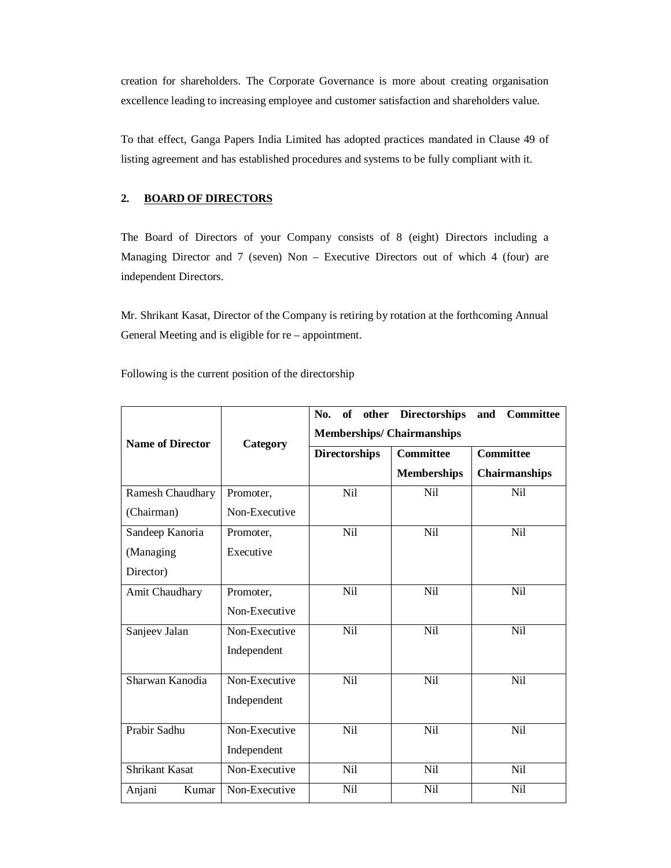creation for shareholders. The Corporate Governance is more about creating organisation excellence leading to increasing employee and customer satisfaction and shareholders value.

To that effect, Ganga Papers India Limited has adopted practices mandated in Clause 49 of listing agreement and has established procedures and systems to be fully compliant with it.

## **2. BOARD OF DIRECTORS**

The Board of Directors of your Company consists of 8 (eight) Directors including a Managing Director and 7 (seven) Non – Executive Directors out of which 4 (four) are independent Directors.

Mr. Shrikant Kasat, Director of the Company is retiring by rotation at the forthcoming Annual General Meeting and is eligible for re – appointment.

Following is the current position of the directorship

|                         |               | No.<br>of                        | other Directorships | Committee<br>and |
|-------------------------|---------------|----------------------------------|---------------------|------------------|
| <b>Name of Director</b> | Category      | <b>Memberships/Chairmanships</b> |                     |                  |
|                         |               | <b>Directorships</b>             | Committee           | <b>Committee</b> |
|                         |               |                                  | <b>Memberships</b>  | Chairmanships    |
| <b>Ramesh Chaudhary</b> | Promoter,     | N <sub>i</sub> l                 | Nil                 | Nil              |
| (Chairman)              | Non-Executive |                                  |                     |                  |
| Sandeep Kanoria         | Promoter,     | Nil                              | Nil                 | Nil              |
| (Managing               | Executive     |                                  |                     |                  |
| Director)               |               |                                  |                     |                  |
| Amit Chaudhary          | Promoter,     | Nil                              | Nil                 | Nil              |
|                         | Non-Executive |                                  |                     |                  |
| Sanjeev Jalan           | Non-Executive | Nil                              | Nil                 | Nil              |
|                         | Independent   |                                  |                     |                  |
| Sharwan Kanodia         | Non-Executive | Nil                              | Nil                 | Nil              |
|                         | Independent   |                                  |                     |                  |
| Prabir Sadhu            | Non-Executive | <b>Nil</b>                       | Nil                 | Nil              |
|                         |               |                                  |                     |                  |
|                         | Independent   |                                  |                     |                  |
| <b>Shrikant Kasat</b>   | Non-Executive | Nil                              | Nil                 | Nil              |
| Kumar<br>Anjani         | Non-Executive | Nil                              | Nil                 | Ni1              |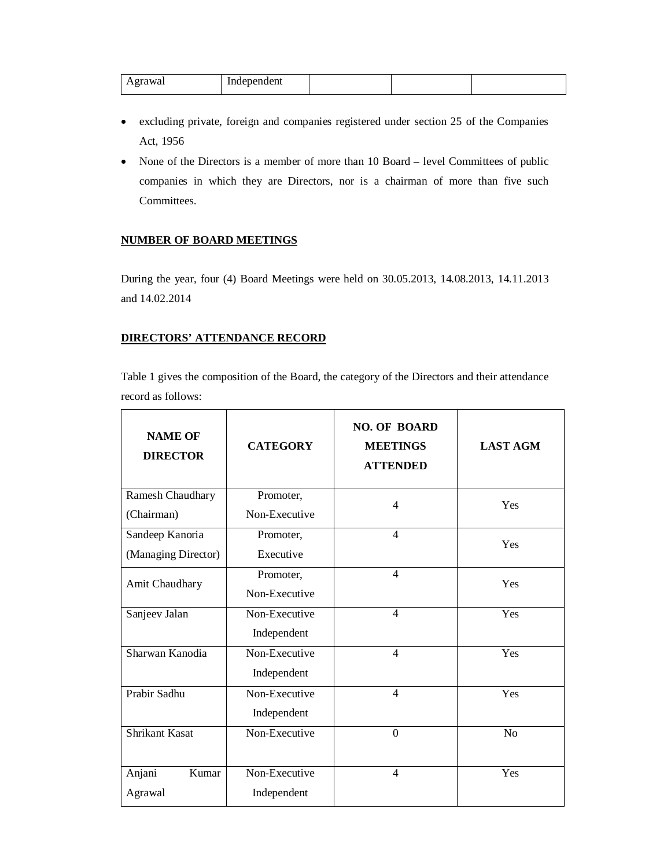|                    | In،   |  |  |
|--------------------|-------|--|--|
| <b>Trawai</b><br>. | ndent |  |  |

- excluding private, foreign and companies registered under section 25 of the Companies Act, 1956
- None of the Directors is a member of more than 10 Board level Committees of public companies in which they are Directors, nor is a chairman of more than five such Committees.

## **NUMBER OF BOARD MEETINGS**

During the year, four (4) Board Meetings were held on 30.05.2013, 14.08.2013, 14.11.2013 and 14.02.2014

# **DIRECTORS' ATTENDANCE RECORD**

Table 1 gives the composition of the Board, the category of the Directors and their attendance record as follows:

| <b>NAME OF</b><br><b>DIRECTOR</b> | <b>CATEGORY</b> | <b>NO. OF BOARD</b><br><b>MEETINGS</b><br><b>ATTENDED</b> | <b>LAST AGM</b> |
|-----------------------------------|-----------------|-----------------------------------------------------------|-----------------|
| Ramesh Chaudhary                  | Promoter,       | 4                                                         | Yes             |
| (Chairman)                        | Non-Executive   |                                                           |                 |
| Sandeep Kanoria                   | Promoter,       | 4                                                         | Yes             |
| (Managing Director)               | Executive       |                                                           |                 |
| Amit Chaudhary                    | Promoter,       | $\overline{\mathcal{A}}$                                  | Yes             |
|                                   | Non-Executive   |                                                           |                 |
| Sanjeev Jalan                     | Non-Executive   | $\overline{\mathcal{A}}$                                  | Yes             |
|                                   | Independent     |                                                           |                 |
| Sharwan Kanodia                   | Non-Executive   | $\overline{4}$                                            | Yes             |
|                                   | Independent     |                                                           |                 |
| Prabir Sadhu                      | Non-Executive   | $\overline{\mathcal{A}}$                                  | Yes             |
|                                   | Independent     |                                                           |                 |
| <b>Shrikant Kasat</b>             | Non-Executive   | $\mathbf{0}$                                              | N <sub>o</sub>  |
|                                   |                 |                                                           |                 |
| Anjani<br>Kumar                   | Non-Executive   | $\overline{\mathcal{A}}$                                  | Yes             |
| Agrawal                           | Independent     |                                                           |                 |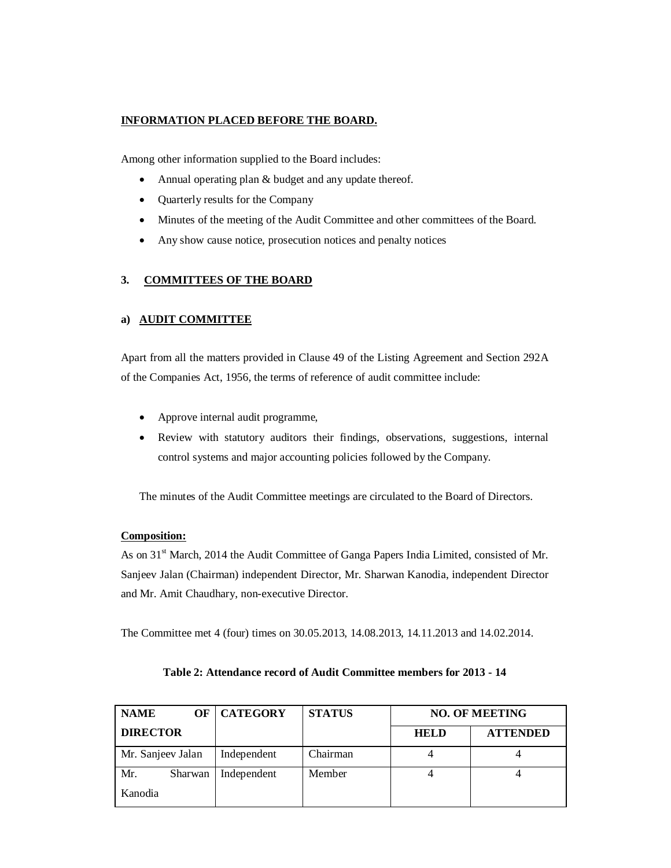## **INFORMATION PLACED BEFORE THE BOARD.**

Among other information supplied to the Board includes:

- Annual operating plan & budget and any update thereof.
- Quarterly results for the Company
- Minutes of the meeting of the Audit Committee and other committees of the Board.
- Any show cause notice, prosecution notices and penalty notices

### **3. COMMITTEES OF THE BOARD**

#### **a) AUDIT COMMITTEE**

Apart from all the matters provided in Clause 49 of the Listing Agreement and Section 292A of the Companies Act, 1956, the terms of reference of audit committee include:

- Approve internal audit programme,
- Review with statutory auditors their findings, observations, suggestions, internal control systems and major accounting policies followed by the Company.

The minutes of the Audit Committee meetings are circulated to the Board of Directors.

#### **Composition:**

As on 31st March, 2014 the Audit Committee of Ganga Papers India Limited, consisted of Mr. Sanjeev Jalan (Chairman) independent Director, Mr. Sharwan Kanodia, independent Director and Mr. Amit Chaudhary, non-executive Director.

The Committee met 4 (four) times on 30.05.2013, 14.08.2013, 14.11.2013 and 14.02.2014.

| <b>NAME</b>       | OF      | <b>CATEGORY</b> | <b>STATUS</b> | <b>NO. OF MEETING</b> |                 |
|-------------------|---------|-----------------|---------------|-----------------------|-----------------|
| <b>DIRECTOR</b>   |         |                 |               | <b>HELD</b>           | <b>ATTENDED</b> |
| Mr. Sanjeev Jalan |         | Independent     | Chairman      |                       |                 |
| Mr.               | Sharwan | Independent     | Member        |                       |                 |
| Kanodia           |         |                 |               |                       |                 |

## **Table 2: Attendance record of Audit Committee members for 2013 - 14**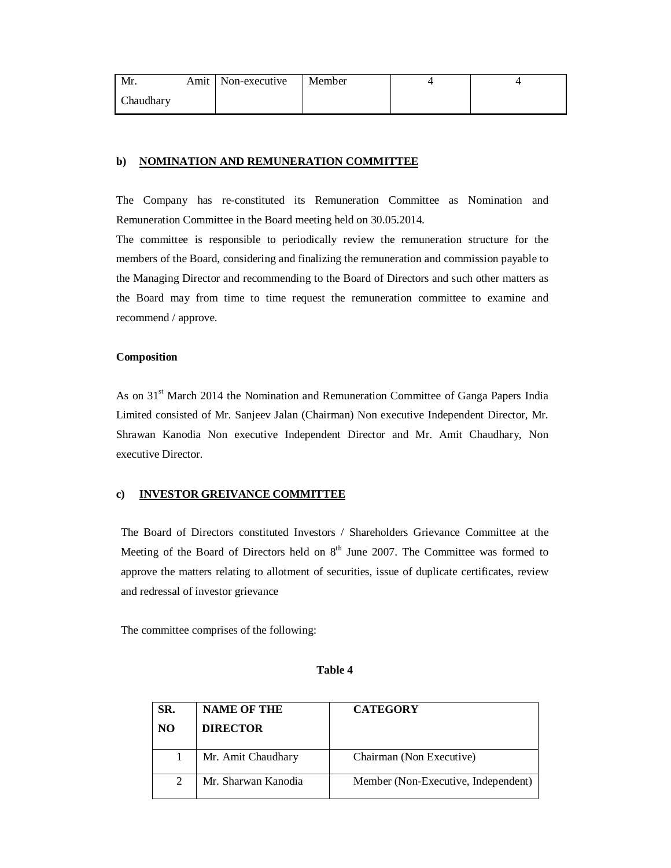| Mr.       | Amit   Non-executive | Member |  |
|-----------|----------------------|--------|--|
| Chaudhary |                      |        |  |

#### **b) NOMINATION AND REMUNERATION COMMITTEE**

The Company has re-constituted its Remuneration Committee as Nomination and Remuneration Committee in the Board meeting held on 30.05.2014.

The committee is responsible to periodically review the remuneration structure for the members of the Board, considering and finalizing the remuneration and commission payable to the Managing Director and recommending to the Board of Directors and such other matters as the Board may from time to time request the remuneration committee to examine and recommend / approve.

#### **Composition**

As on 31<sup>st</sup> March 2014 the Nomination and Remuneration Committee of Ganga Papers India Limited consisted of Mr. Sanjeev Jalan (Chairman) Non executive Independent Director, Mr. Shrawan Kanodia Non executive Independent Director and Mr. Amit Chaudhary, Non executive Director.

#### **c) INVESTOR GREIVANCE COMMITTEE**

The Board of Directors constituted Investors / Shareholders Grievance Committee at the Meeting of the Board of Directors held on  $8<sup>th</sup>$  June 2007. The Committee was formed to approve the matters relating to allotment of securities, issue of duplicate certificates, review and redressal of investor grievance

The committee comprises of the following:

#### **Table 4**

| SR. | <b>NAME OF THE</b>  | <b>CATEGORY</b>                     |
|-----|---------------------|-------------------------------------|
| NO  | <b>DIRECTOR</b>     |                                     |
|     | Mr. Amit Chaudhary  | Chairman (Non Executive)            |
| 2   | Mr. Sharwan Kanodia | Member (Non-Executive, Independent) |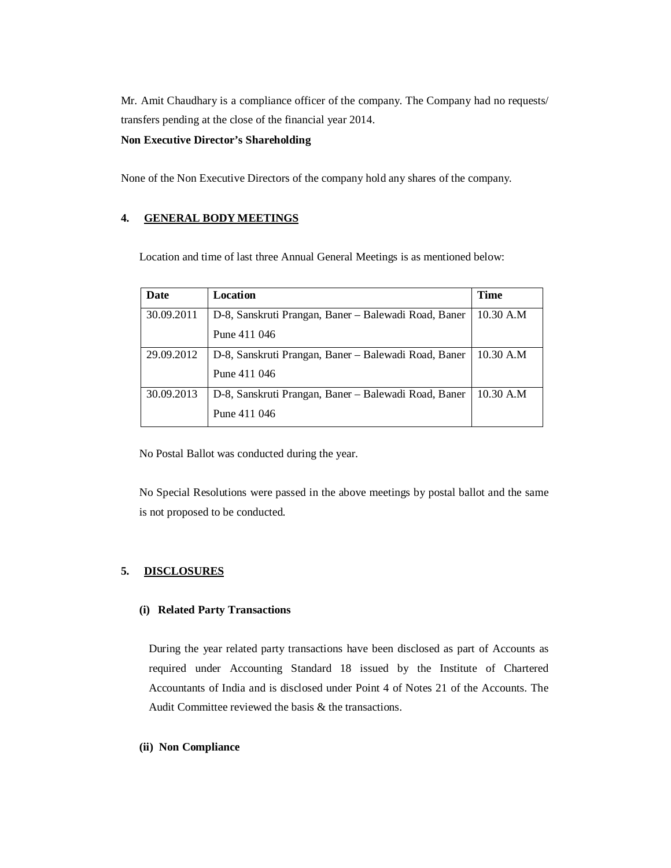Mr. Amit Chaudhary is a compliance officer of the company. The Company had no requests/ transfers pending at the close of the financial year 2014.

#### **Non Executive Director's Shareholding**

None of the Non Executive Directors of the company hold any shares of the company.

### **4. GENERAL BODY MEETINGS**

Location and time of last three Annual General Meetings is as mentioned below:

| Date       | Location                                             | <b>Time</b> |
|------------|------------------------------------------------------|-------------|
| 30.09.2011 | D-8, Sanskruti Prangan, Baner – Balewadi Road, Baner | 10.30 A.M   |
|            | Pune 411 046                                         |             |
| 29.09.2012 | D-8, Sanskruti Prangan, Baner – Balewadi Road, Baner | 10.30 A.M   |
|            | Pune 411 046                                         |             |
| 30.09.2013 | D-8, Sanskruti Prangan, Baner – Balewadi Road, Baner | 10.30 A.M   |
|            | Pune 411 046                                         |             |

No Postal Ballot was conducted during the year.

No Special Resolutions were passed in the above meetings by postal ballot and the same is not proposed to be conducted.

#### **5. DISCLOSURES**

#### **(i) Related Party Transactions**

During the year related party transactions have been disclosed as part of Accounts as required under Accounting Standard 18 issued by the Institute of Chartered Accountants of India and is disclosed under Point 4 of Notes 21 of the Accounts. The Audit Committee reviewed the basis & the transactions.

#### **(ii) Non Compliance**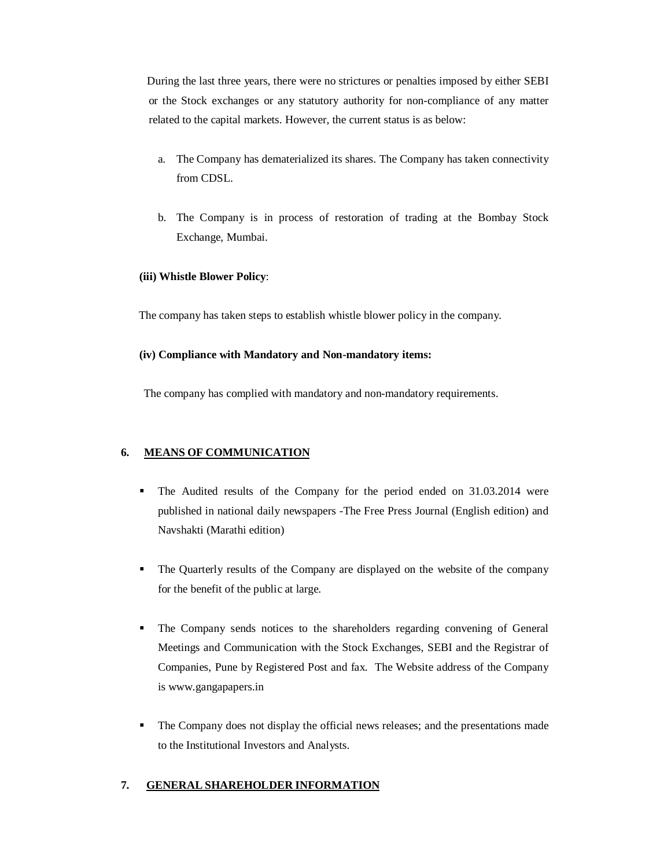During the last three years, there were no strictures or penalties imposed by either SEBI or the Stock exchanges or any statutory authority for non-compliance of any matter related to the capital markets. However, the current status is as below:

- a. The Company has dematerialized its shares. The Company has taken connectivity from CDSL.
- b. The Company is in process of restoration of trading at the Bombay Stock Exchange, Mumbai.

## **(iii) Whistle Blower Policy**:

The company has taken steps to establish whistle blower policy in the company.

## **(iv) Compliance with Mandatory and Non-mandatory items:**

The company has complied with mandatory and non-mandatory requirements.

# **6. MEANS OF COMMUNICATION**

- The Audited results of the Company for the period ended on 31.03.2014 were published in national daily newspapers -The Free Press Journal (English edition) and Navshakti (Marathi edition)
- The Quarterly results of the Company are displayed on the website of the company for the benefit of the public at large.
- The Company sends notices to the shareholders regarding convening of General Meetings and Communication with the Stock Exchanges, SEBI and the Registrar of Companies, Pune by Registered Post and fax. The Website address of the Company is www.gangapapers.in
- The Company does not display the official news releases; and the presentations made to the Institutional Investors and Analysts.

# **7. GENERAL SHAREHOLDER INFORMATION**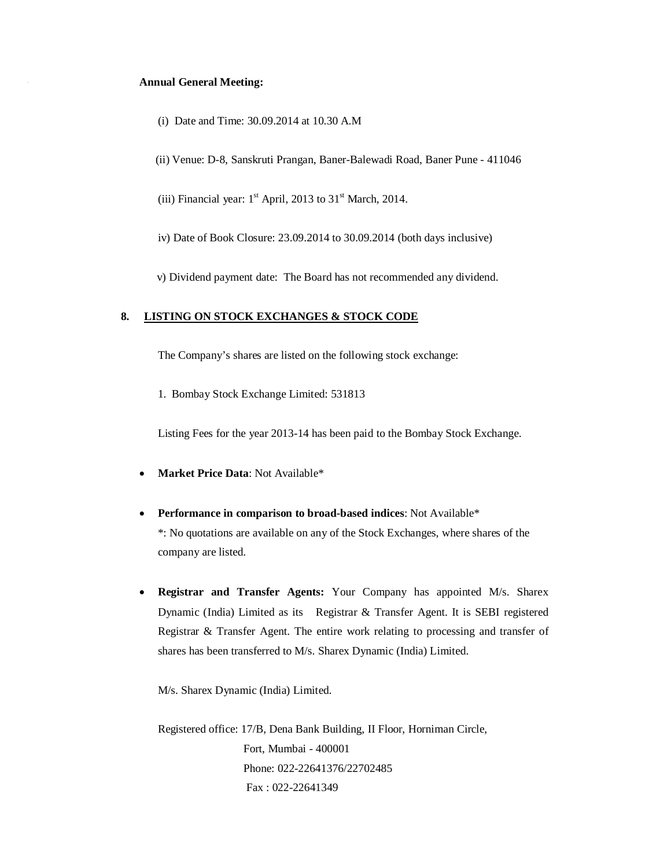#### **Annual General Meeting:**

- (i) Date and Time: 30.09.2014 at 10.30 A.M
- (ii) Venue: D-8, Sanskruti Prangan, Baner-Balewadi Road, Baner Pune 411046
- (iii) Financial year:  $1<sup>st</sup>$  April, 2013 to 31<sup>st</sup> March, 2014.
- iv) Date of Book Closure: 23.09.2014 to 30.09.2014 (both days inclusive)
- v) Dividend payment date:The Board has not recommended any dividend.

#### **8. LISTING ON STOCK EXCHANGES & STOCK CODE**

The Company's shares are listed on the following stock exchange:

1. Bombay Stock Exchange Limited: 531813

Listing Fees for the year 2013-14 has been paid to the Bombay Stock Exchange.

- **Market Price Data**: Not Available\*
- **Performance in comparison to broad-based indices**: Not Available\* \*: No quotations are available on any of the Stock Exchanges, where shares of the company are listed.
- **Registrar and Transfer Agents:** Your Company has appointed M/s. Sharex Dynamic (India) Limited as its Registrar & Transfer Agent. It is SEBI registered Registrar & Transfer Agent. The entire work relating to processing and transfer of shares has been transferred to M/s. Sharex Dynamic (India) Limited.

M/s. Sharex Dynamic (India) Limited.

 Registered office: 17/B, Dena Bank Building, II Floor, Horniman Circle, Fort, Mumbai - 400001 Phone: 022-22641376/22702485 Fax : 022-22641349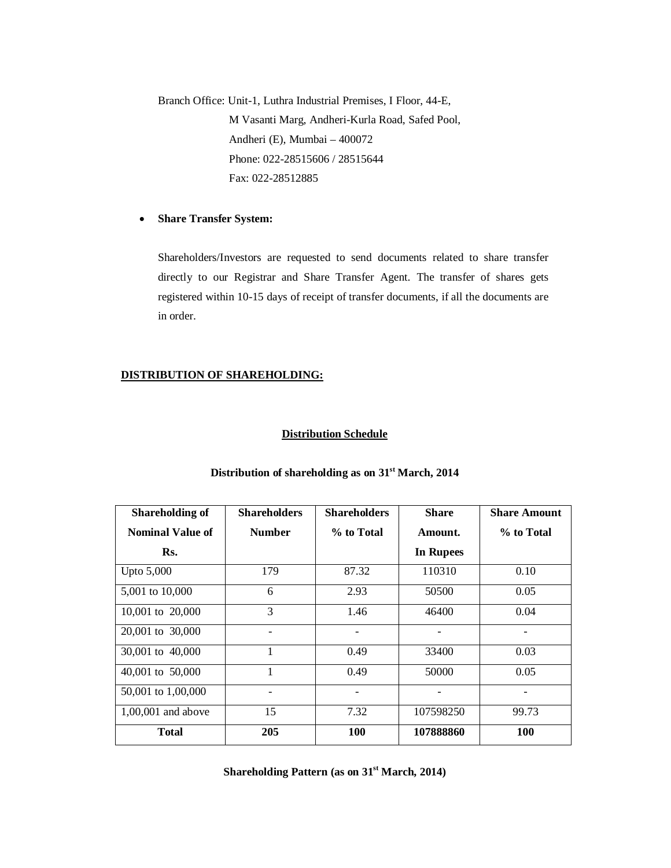Branch Office: Unit-1, Luthra Industrial Premises, I Floor, 44-E, M Vasanti Marg, Andheri-Kurla Road, Safed Pool, Andheri (E), Mumbai – 400072 Phone: 022-28515606 / 28515644 Fax: 022-28512885

#### **Share Transfer System:**

Shareholders/Investors are requested to send documents related to share transfer directly to our Registrar and Share Transfer Agent. The transfer of shares gets registered within 10-15 days of receipt of transfer documents, if all the documents are in order.

## **DISTRIBUTION OF SHAREHOLDING:**

#### **Distribution Schedule**

| <b>Shareholding of</b>  | <b>Shareholders</b> | <b>Shareholders</b> | <b>Share</b>     | <b>Share Amount</b> |
|-------------------------|---------------------|---------------------|------------------|---------------------|
| <b>Nominal Value of</b> | <b>Number</b>       | % to Total          | Amount.          | % to Total          |
| Rs.                     |                     |                     | <b>In Rupees</b> |                     |
| Upto 5,000              | 179                 | 87.32               | 110310           | 0.10                |
| 5,001 to 10,000         | 6                   | 2.93                | 50500            | 0.05                |
| 10,001 to 20,000        | 3                   | 1.46                | 46400            | 0.04                |
| 20,001 to 30,000        |                     |                     |                  | -                   |
| 30,001 to 40,000        | 1                   | 0.49                | 33400            | 0.03                |
| 40,001 to 50,000        | 1                   | 0.49                | 50000            | 0.05                |
| 50,001 to 1,00,000      |                     |                     |                  |                     |
| $1,00,001$ and above    | 15                  | 7.32                | 107598250        | 99.73               |
| <b>Total</b>            | 205                 | 100                 | 107888860        | 100                 |

### **Distribution of shareholding as on 31st March, 2014**

**Shareholding Pattern (as on 31st March, 2014)**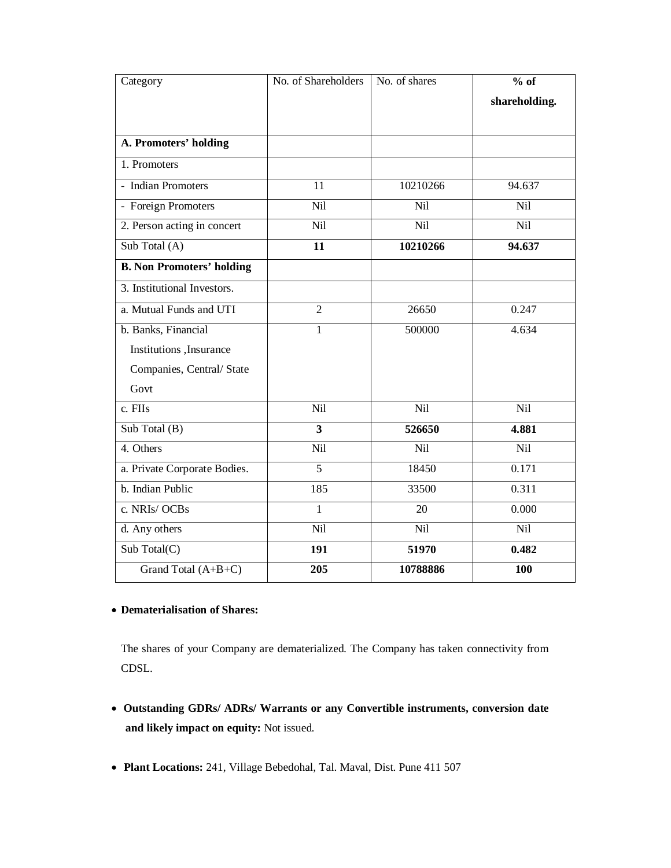| Category                         | No. of Shareholders | No. of shares | $%$ of        |
|----------------------------------|---------------------|---------------|---------------|
|                                  |                     |               | shareholding. |
|                                  |                     |               |               |
| A. Promoters' holding            |                     |               |               |
| 1. Promoters                     |                     |               |               |
| - Indian Promoters               | 11                  | 10210266      | 94.637        |
| - Foreign Promoters              | Nil                 | Nil           | Nil           |
| 2. Person acting in concert      | Nil                 | Nil           | <b>Nil</b>    |
| Sub Total (A)                    | 11                  | 10210266      | 94.637        |
| <b>B. Non Promoters' holding</b> |                     |               |               |
| 3. Institutional Investors.      |                     |               |               |
| a. Mutual Funds and UTI          | $\overline{2}$      | 26650         | 0.247         |
| b. Banks, Financial              | $\mathbf{1}$        | 500000        | 4.634         |
| Institutions, Insurance          |                     |               |               |
| Companies, Central/State         |                     |               |               |
| Govt                             |                     |               |               |
| c. FIIs                          | Nil                 | Nil           | Nil           |
| Sub Total (B)                    | 3                   | 526650        | 4.881         |
| 4. Others                        | Nil                 | Nil           | Nil           |
| a. Private Corporate Bodies.     | $\overline{5}$      | 18450         | 0.171         |
| b. Indian Public                 | 185                 | 33500         | 0.311         |
| c. NRIs/OCBs                     | $\mathbf{1}$        | 20            | 0.000         |
| d. Any others                    | Nil                 | Nil           | <b>Nil</b>    |
| Sub Total(C)                     | 191                 | 51970         | 0.482         |
| Grand Total (A+B+C)              | 205                 | 10788886      | 100           |

# **Dematerialisation of Shares:**

The shares of your Company are dematerialized. The Company has taken connectivity from CDSL.

- **Outstanding GDRs/ ADRs/ Warrants or any Convertible instruments, conversion date and likely impact on equity:** Not issued.
- **Plant Locations:** 241, Village Bebedohal, Tal. Maval, Dist. Pune 411 507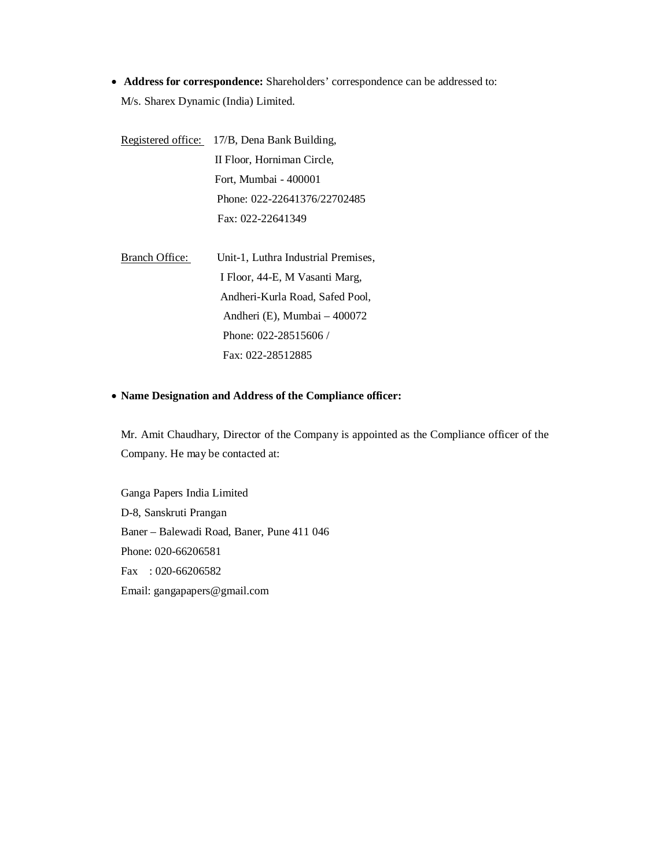**Address for correspondence:** Shareholders' correspondence can be addressed to: M/s. Sharex Dynamic (India) Limited.

Registered office: 17/B, Dena Bank Building, II Floor, Horniman Circle, Fort, Mumbai - 400001 Phone: 022-22641376/22702485 Fax: 022-22641349

Branch Office: Unit-1, Luthra Industrial Premises, I Floor, 44-E, M Vasanti Marg, Andheri-Kurla Road, Safed Pool, Andheri (E), Mumbai – 400072 Phone: 022-28515606 / Fax: 022-28512885

### **Name Designation and Address of the Compliance officer:**

Mr. Amit Chaudhary, Director of the Company is appointed as the Compliance officer of the Company. He may be contacted at:

Ganga Papers India Limited D-8, Sanskruti Prangan Baner – Balewadi Road, Baner, Pune 411 046 Phone: 020-66206581 Fax : 020-66206582 Email: gangapapers@gmail.com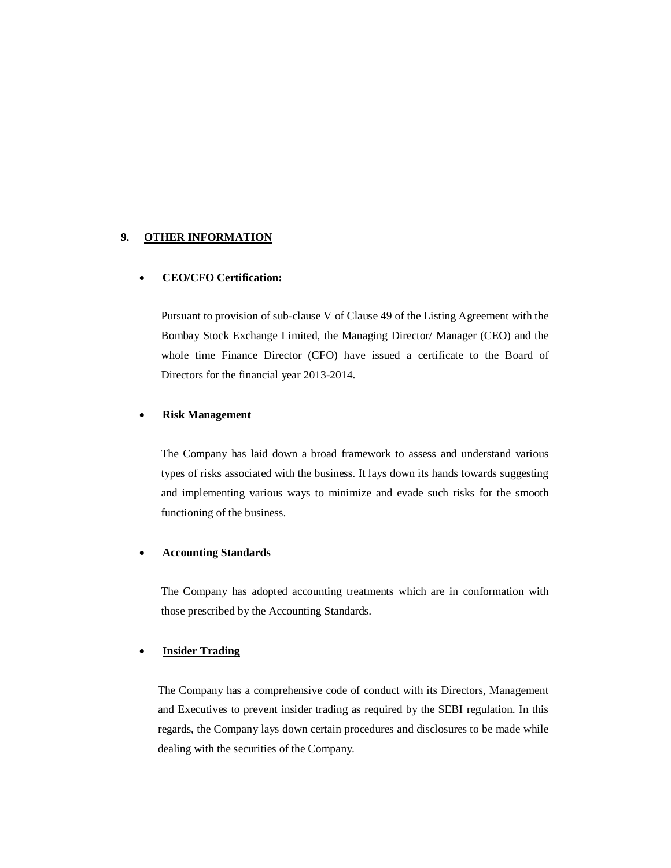#### **9. OTHER INFORMATION**

#### **CEO/CFO Certification:**

Pursuant to provision of sub-clause V of Clause 49 of the Listing Agreement with the Bombay Stock Exchange Limited, the Managing Director/ Manager (CEO) and the whole time Finance Director (CFO) have issued a certificate to the Board of Directors for the financial year 2013-2014.

#### **Risk Management**

The Company has laid down a broad framework to assess and understand various types of risks associated with the business. It lays down its hands towards suggesting and implementing various ways to minimize and evade such risks for the smooth functioning of the business.

#### **Accounting Standards**

The Company has adopted accounting treatments which are in conformation with those prescribed by the Accounting Standards.

### **Insider Trading**

The Company has a comprehensive code of conduct with its Directors, Management and Executives to prevent insider trading as required by the SEBI regulation. In this regards, the Company lays down certain procedures and disclosures to be made while dealing with the securities of the Company.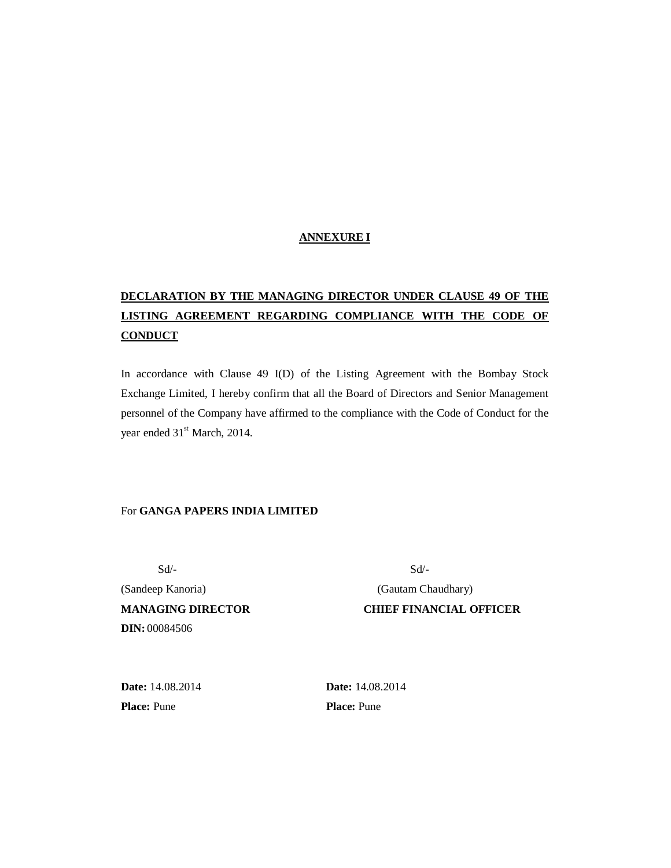## **ANNEXURE I**

# **DECLARATION BY THE MANAGING DIRECTOR UNDER CLAUSE 49 OF THE LISTING AGREEMENT REGARDING COMPLIANCE WITH THE CODE OF CONDUCT**

In accordance with Clause 49 I(D) of the Listing Agreement with the Bombay Stock Exchange Limited, I hereby confirm that all the Board of Directors and Senior Management personnel of the Company have affirmed to the compliance with the Code of Conduct for the year ended  $31<sup>st</sup>$  March, 2014.

## For **GANGA PAPERS INDIA LIMITED**

(Sandeep Kanoria) (Gautam Chaudhary) **MANAGING DIRECTOR CHIEF FINANCIAL OFFICER DIN:** 00084506

 $Sd$ -

**Date:** 14.08.2014 **Date:** 14.08.2014 **Place:** Pune **Place:** Pune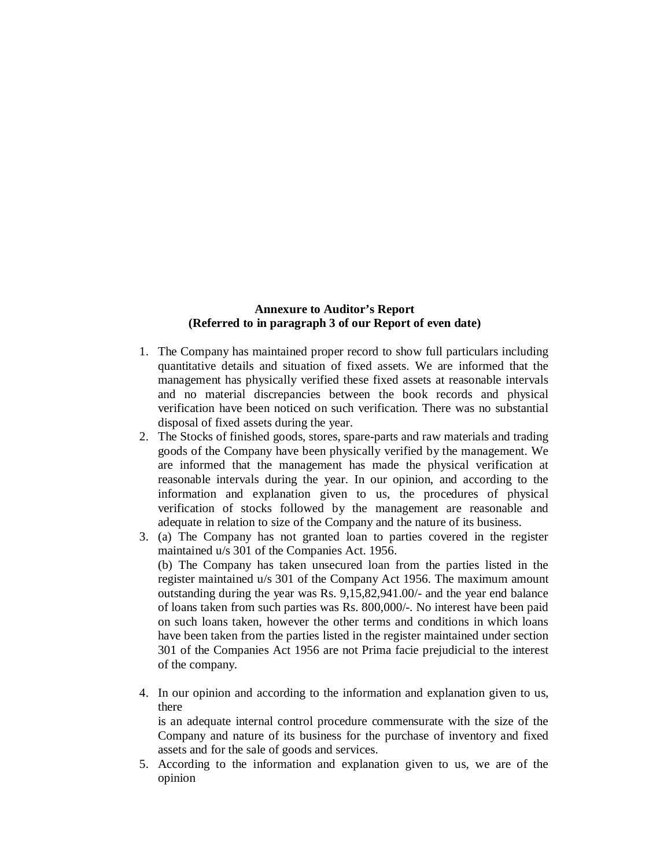## **Annexure to Auditor's Report (Referred to in paragraph 3 of our Report of even date)**

- 1. The Company has maintained proper record to show full particulars including quantitative details and situation of fixed assets. We are informed that the management has physically verified these fixed assets at reasonable intervals and no material discrepancies between the book records and physical verification have been noticed on such verification. There was no substantial disposal of fixed assets during the year.
- 2. The Stocks of finished goods, stores, spare-parts and raw materials and trading goods of the Company have been physically verified by the management. We are informed that the management has made the physical verification at reasonable intervals during the year. In our opinion, and according to the information and explanation given to us, the procedures of physical verification of stocks followed by the management are reasonable and adequate in relation to size of the Company and the nature of its business.
- 3. (a) The Company has not granted loan to parties covered in the register maintained u/s 301 of the Companies Act. 1956. (b) The Company has taken unsecured loan from the parties listed in the register maintained u/s 301 of the Company Act 1956. The maximum amount outstanding during the year was Rs. 9,15,82,941.00/- and the year end balance of loans taken from such parties was Rs. 800,000/-. No interest have been paid on such loans taken, however the other terms and conditions in which loans have been taken from the parties listed in the register maintained under section 301 of the Companies Act 1956 are not Prima facie prejudicial to the interest of the company.
- 4. In our opinion and according to the information and explanation given to us, there is an adequate internal control procedure commensurate with the size of the Company and nature of its business for the purchase of inventory and fixed

assets and for the sale of goods and services.

5. According to the information and explanation given to us, we are of the opinion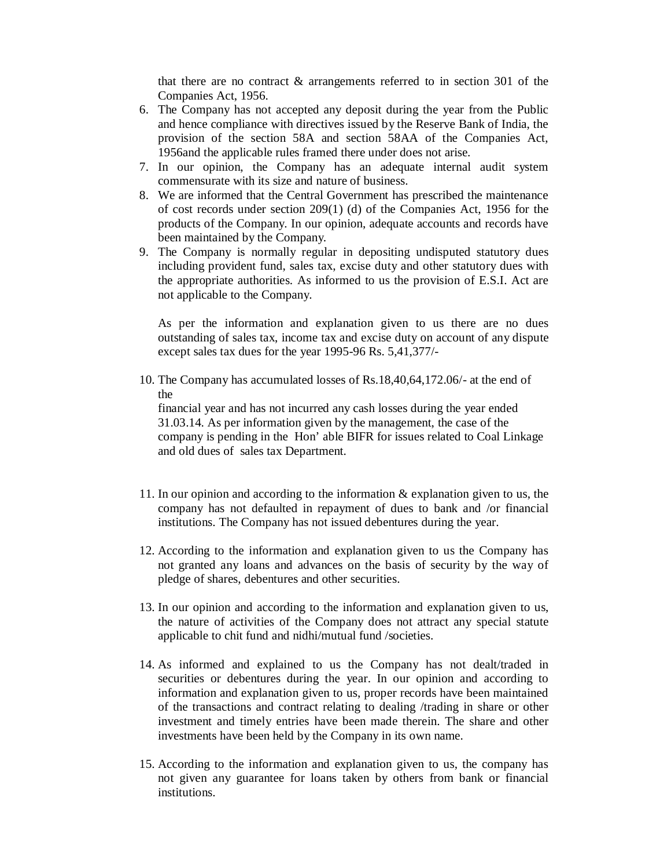that there are no contract & arrangements referred to in section 301 of the Companies Act, 1956.

- 6. The Company has not accepted any deposit during the year from the Public and hence compliance with directives issued by the Reserve Bank of India, the provision of the section 58A and section 58AA of the Companies Act, 1956and the applicable rules framed there under does not arise.
- 7. In our opinion, the Company has an adequate internal audit system commensurate with its size and nature of business.
- 8. We are informed that the Central Government has prescribed the maintenance of cost records under section 209(1) (d) of the Companies Act, 1956 for the products of the Company. In our opinion, adequate accounts and records have been maintained by the Company.
- 9. The Company is normally regular in depositing undisputed statutory dues including provident fund, sales tax, excise duty and other statutory dues with the appropriate authorities. As informed to us the provision of E.S.I. Act are not applicable to the Company.

As per the information and explanation given to us there are no dues outstanding of sales tax, income tax and excise duty on account of any dispute except sales tax dues for the year 1995-96 Rs. 5,41,377/-

10. The Company has accumulated losses of Rs.18,40,64,172.06/- at the end of the

 financial year and has not incurred any cash losses during the year ended 31.03.14. As per information given by the management, the case of the company is pending in the Hon' able BIFR for issues related to Coal Linkage and old dues of sales tax Department.

- 11. In our opinion and according to the information & explanation given to us, the company has not defaulted in repayment of dues to bank and /or financial institutions. The Company has not issued debentures during the year.
- 12. According to the information and explanation given to us the Company has not granted any loans and advances on the basis of security by the way of pledge of shares, debentures and other securities.
- 13. In our opinion and according to the information and explanation given to us, the nature of activities of the Company does not attract any special statute applicable to chit fund and nidhi/mutual fund /societies.
- 14. As informed and explained to us the Company has not dealt/traded in securities or debentures during the year. In our opinion and according to information and explanation given to us, proper records have been maintained of the transactions and contract relating to dealing /trading in share or other investment and timely entries have been made therein. The share and other investments have been held by the Company in its own name.
- 15. According to the information and explanation given to us, the company has not given any guarantee for loans taken by others from bank or financial institutions.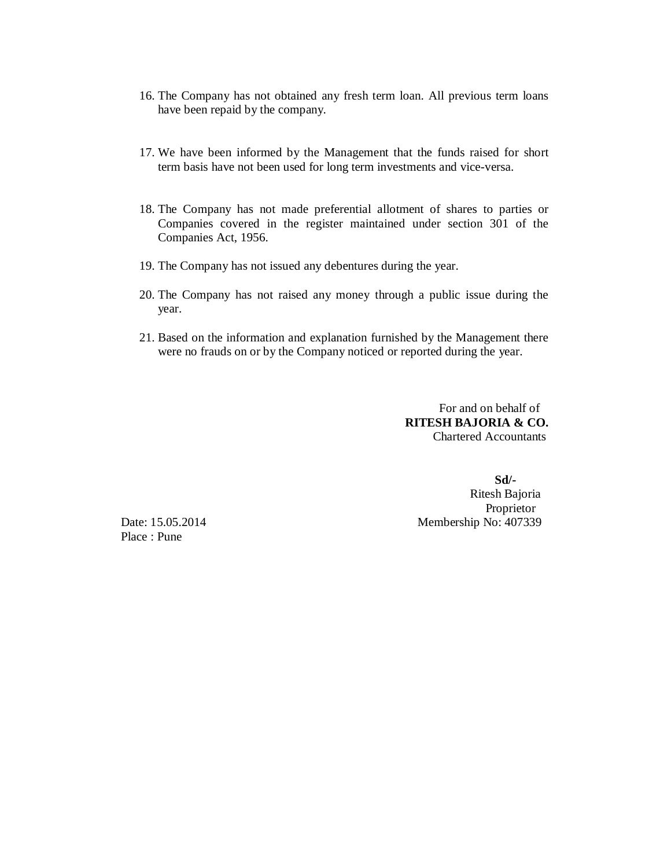- 16. The Company has not obtained any fresh term loan. All previous term loans have been repaid by the company.
- 17. We have been informed by the Management that the funds raised for short term basis have not been used for long term investments and vice-versa.
- 18. The Company has not made preferential allotment of shares to parties or Companies covered in the register maintained under section 301 of the Companies Act, 1956.
- 19. The Company has not issued any debentures during the year.
- 20. The Company has not raised any money through a public issue during the year.
- 21. Based on the information and explanation furnished by the Management there were no frauds on or by the Company noticed or reported during the year.

 For and on behalf of **RITESH BAJORIA & CO.** Chartered Accountants

 **Sd/-**  Ritesh Bajoria Proprietor Date: 15.05.2014 Membership No: 407339

Place : Pune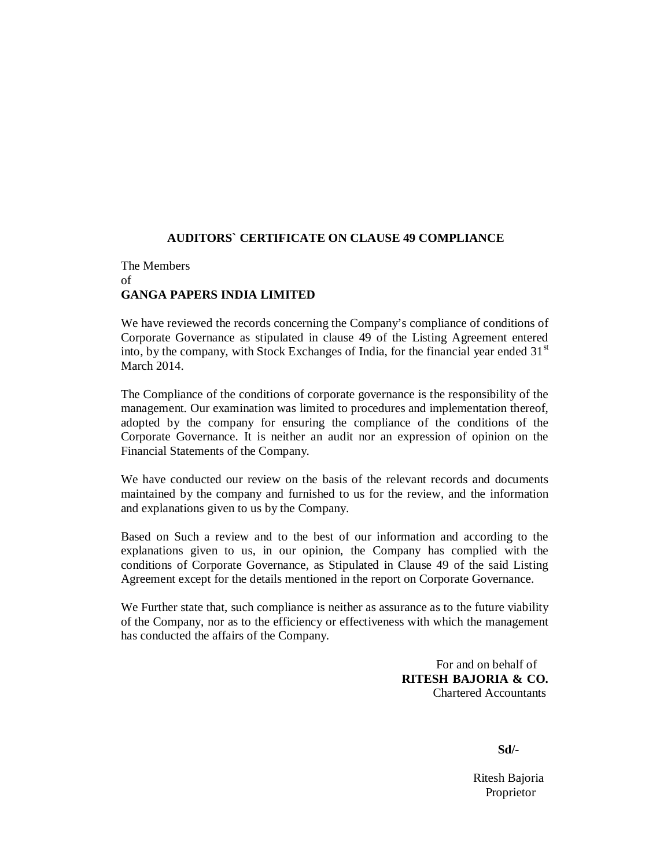# **AUDITORS` CERTIFICATE ON CLAUSE 49 COMPLIANCE**

# The Members of **GANGA PAPERS INDIA LIMITED**

We have reviewed the records concerning the Company's compliance of conditions of Corporate Governance as stipulated in clause 49 of the Listing Agreement entered into, by the company, with Stock Exchanges of India, for the financial year ended  $31<sup>st</sup>$ March 2014.

The Compliance of the conditions of corporate governance is the responsibility of the management. Our examination was limited to procedures and implementation thereof, adopted by the company for ensuring the compliance of the conditions of the Corporate Governance. It is neither an audit nor an expression of opinion on the Financial Statements of the Company.

We have conducted our review on the basis of the relevant records and documents maintained by the company and furnished to us for the review, and the information and explanations given to us by the Company.

Based on Such a review and to the best of our information and according to the explanations given to us, in our opinion, the Company has complied with the conditions of Corporate Governance, as Stipulated in Clause 49 of the said Listing Agreement except for the details mentioned in the report on Corporate Governance.

We Further state that, such compliance is neither as assurance as to the future viability of the Company, nor as to the efficiency or effectiveness with which the management has conducted the affairs of the Company.

> For and on behalf of **RITESH BAJORIA & CO.** Chartered Accountants

**Sd/-**

 Ritesh Bajoria Proprietor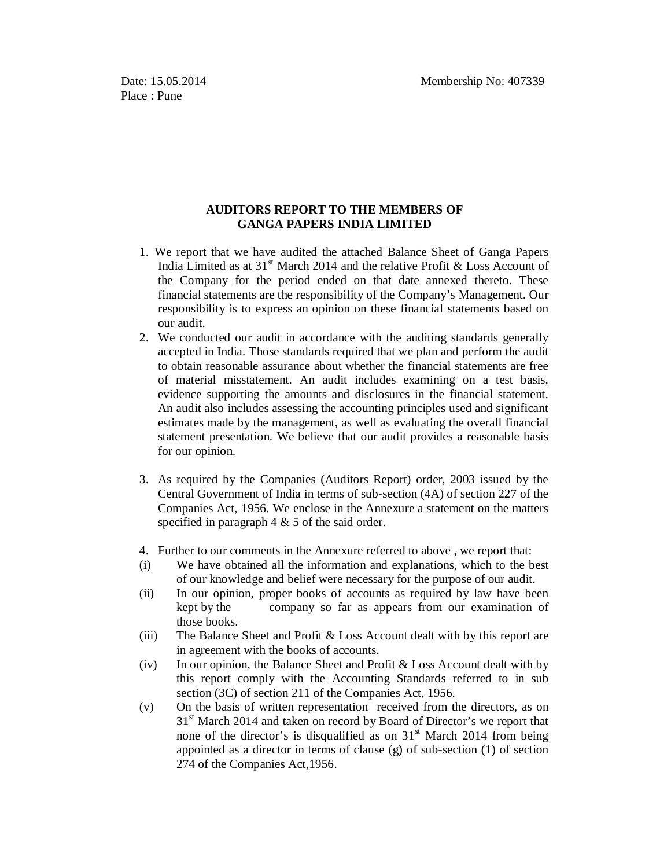## **AUDITORS REPORT TO THE MEMBERS OF GANGA PAPERS INDIA LIMITED**

- 1. We report that we have audited the attached Balance Sheet of Ganga Papers India Limited as at  $31<sup>st</sup>$  March 2014 and the relative Profit & Loss Account of the Company for the period ended on that date annexed thereto. These financial statements are the responsibility of the Company's Management. Our responsibility is to express an opinion on these financial statements based on our audit.
- 2. We conducted our audit in accordance with the auditing standards generally accepted in India. Those standards required that we plan and perform the audit to obtain reasonable assurance about whether the financial statements are free of material misstatement. An audit includes examining on a test basis, evidence supporting the amounts and disclosures in the financial statement. An audit also includes assessing the accounting principles used and significant estimates made by the management, as well as evaluating the overall financial statement presentation. We believe that our audit provides a reasonable basis for our opinion.
- 3. As required by the Companies (Auditors Report) order, 2003 issued by the Central Government of India in terms of sub-section (4A) of section 227 of the Companies Act, 1956. We enclose in the Annexure a statement on the matters specified in paragraph 4 & 5 of the said order.
- 4. Further to our comments in the Annexure referred to above , we report that:
- (i) We have obtained all the information and explanations, which to the best of our knowledge and belief were necessary for the purpose of our audit.
- (ii) In our opinion, proper books of accounts as required by law have been kept by the company so far as appears from our examination of those books.
- (iii) The Balance Sheet and Profit & Loss Account dealt with by this report are in agreement with the books of accounts.
- (iv) In our opinion, the Balance Sheet and Profit & Loss Account dealt with by this report comply with the Accounting Standards referred to in sub section (3C) of section 211 of the Companies Act, 1956.
- (v) On the basis of written representation received from the directors, as on  $31<sup>st</sup>$  March 2014 and taken on record by Board of Director's we report that none of the director's is disqualified as on  $31<sup>st</sup>$  March 2014 from being appointed as a director in terms of clause  $(g)$  of sub-section  $(1)$  of section 274 of the Companies Act,1956.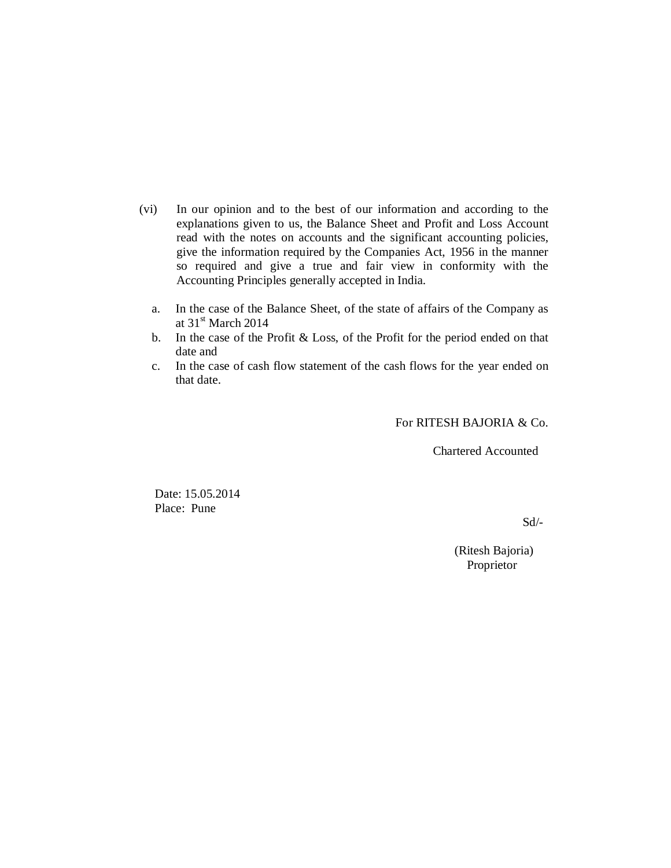- (vi) In our opinion and to the best of our information and according to the explanations given to us, the Balance Sheet and Profit and Loss Account read with the notes on accounts and the significant accounting policies, give the information required by the Companies Act, 1956 in the manner so required and give a true and fair view in conformity with the Accounting Principles generally accepted in India.
	- a. In the case of the Balance Sheet, of the state of affairs of the Company as at  $31<sup>st</sup>$  March 2014
	- b. In the case of the Profit & Loss, of the Profit for the period ended on that date and
	- c. In the case of cash flow statement of the cash flows for the year ended on that date.

For RITESH BAJORIA & Co.

Chartered Accounted

 Date: 15.05.2014 Place: Pune

Sd/-

(Ritesh Bajoria) Proprietor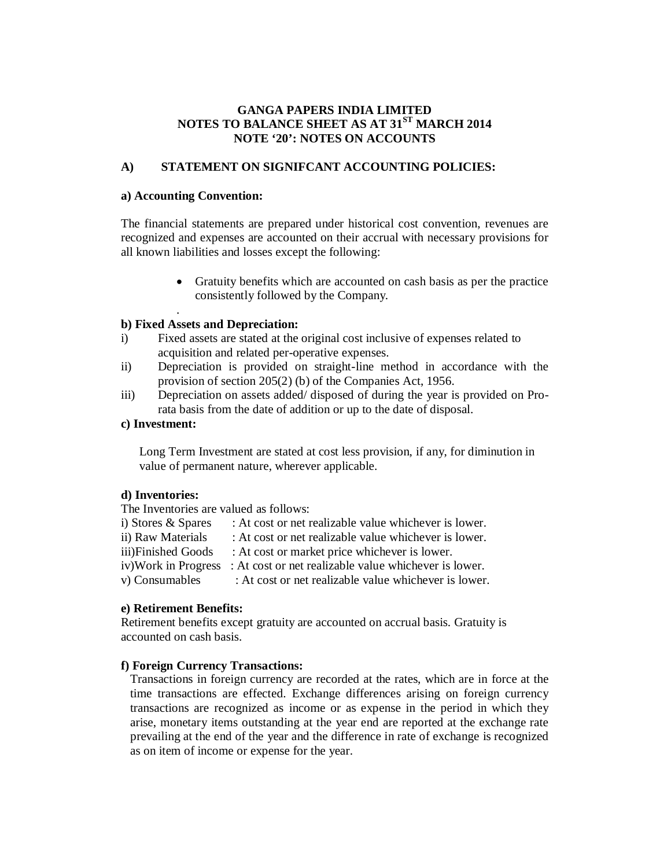# **GANGA PAPERS INDIA LIMITED NOTES TO BALANCE SHEET AS AT 31ST MARCH 2014 NOTE '20': NOTES ON ACCOUNTS**

# **A) STATEMENT ON SIGNIFCANT ACCOUNTING POLICIES:**

## **a) Accounting Convention:**

The financial statements are prepared under historical cost convention, revenues are recognized and expenses are accounted on their accrual with necessary provisions for all known liabilities and losses except the following:

> Gratuity benefits which are accounted on cash basis as per the practice consistently followed by the Company.

### . **b) Fixed Assets and Depreciation:**

- i) Fixed assets are stated at the original cost inclusive of expenses related to acquisition and related per-operative expenses.
- ii) Depreciation is provided on straight-line method in accordance with the provision of section 205(2) (b) of the Companies Act, 1956.
- iii) Depreciation on assets added/ disposed of during the year is provided on Prorata basis from the date of addition or up to the date of disposal.

# **c) Investment:**

Long Term Investment are stated at cost less provision, if any, for diminution in value of permanent nature, wherever applicable.

#### **d) Inventories:**

The Inventories are valued as follows:

- i) Stores  $\&$  Spares  $\therefore$  At cost or net realizable value whichever is lower.
- ii) Raw Materials : At cost or net realizable value whichever is lower.
- iii)Finished Goods : At cost or market price whichever is lower.
- iv)Work in Progress : At cost or net realizable value whichever is lower.

v) Consumables : At cost or net realizable value whichever is lower.

# **e) Retirement Benefits:**

Retirement benefits except gratuity are accounted on accrual basis. Gratuity is accounted on cash basis.

# **f) Foreign Currency Transactions:**

Transactions in foreign currency are recorded at the rates, which are in force at the time transactions are effected. Exchange differences arising on foreign currency transactions are recognized as income or as expense in the period in which they arise, monetary items outstanding at the year end are reported at the exchange rate prevailing at the end of the year and the difference in rate of exchange is recognized as on item of income or expense for the year.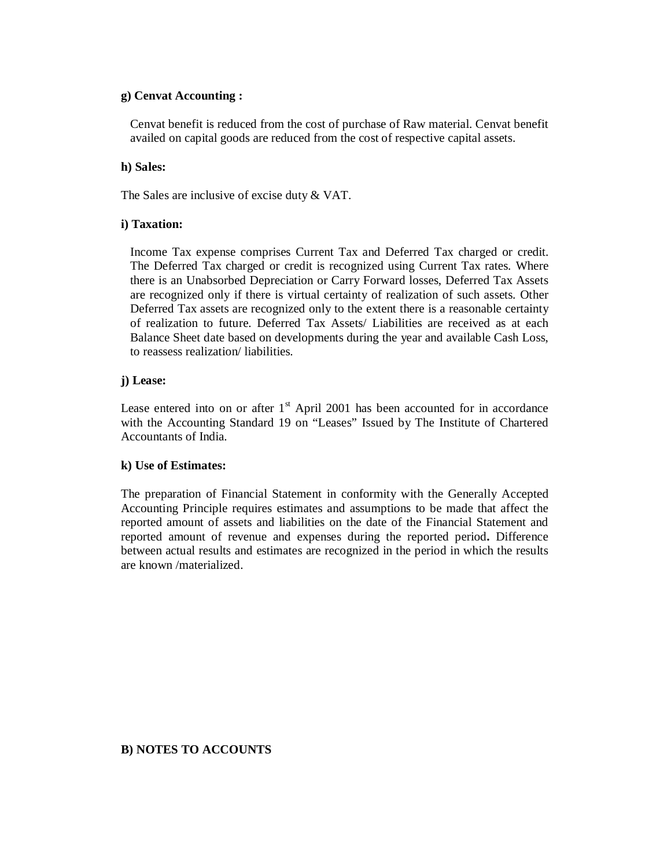## **g) Cenvat Accounting :**

Cenvat benefit is reduced from the cost of purchase of Raw material. Cenvat benefit availed on capital goods are reduced from the cost of respective capital assets.

## **h) Sales:**

The Sales are inclusive of excise duty & VAT.

# **i) Taxation:**

Income Tax expense comprises Current Tax and Deferred Tax charged or credit. The Deferred Tax charged or credit is recognized using Current Tax rates. Where there is an Unabsorbed Depreciation or Carry Forward losses, Deferred Tax Assets are recognized only if there is virtual certainty of realization of such assets. Other Deferred Tax assets are recognized only to the extent there is a reasonable certainty of realization to future. Deferred Tax Assets/ Liabilities are received as at each Balance Sheet date based on developments during the year and available Cash Loss, to reassess realization/ liabilities.

# **j) Lease:**

Lease entered into on or after  $1<sup>st</sup>$  April 2001 has been accounted for in accordance with the Accounting Standard 19 on "Leases" Issued by The Institute of Chartered Accountants of India.

# **k) Use of Estimates:**

The preparation of Financial Statement in conformity with the Generally Accepted Accounting Principle requires estimates and assumptions to be made that affect the reported amount of assets and liabilities on the date of the Financial Statement and reported amount of revenue and expenses during the reported period**.** Difference between actual results and estimates are recognized in the period in which the results are known /materialized.

# **B) NOTES TO ACCOUNTS**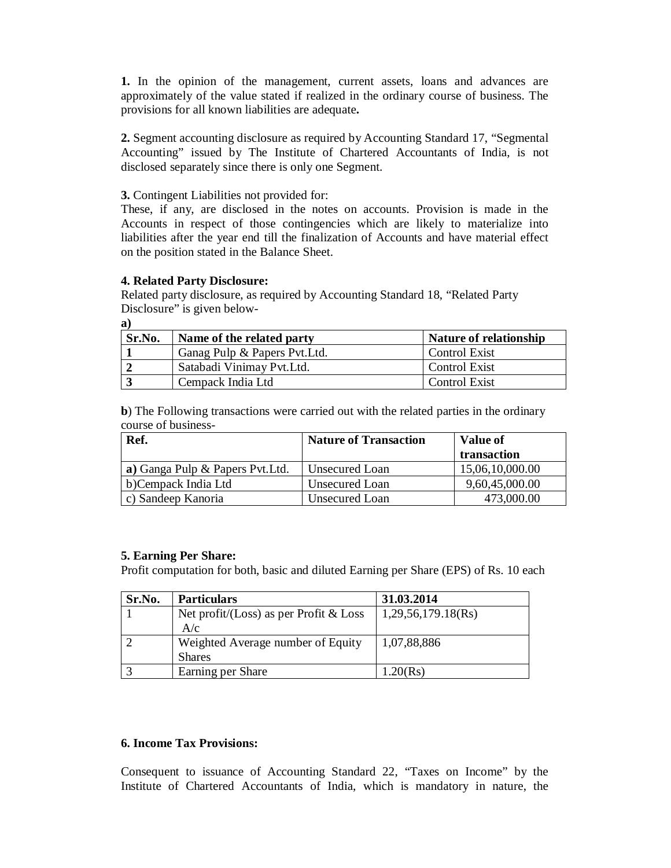**1.** In the opinion of the management, current assets, loans and advances are approximately of the value stated if realized in the ordinary course of business. The provisions for all known liabilities are adequate**.**

**2.** Segment accounting disclosure as required by Accounting Standard 17, "Segmental Accounting" issued by The Institute of Chartered Accountants of India, is not disclosed separately since there is only one Segment.

## **3.** Contingent Liabilities not provided for:

These, if any, are disclosed in the notes on accounts. Provision is made in the Accounts in respect of those contingencies which are likely to materialize into liabilities after the year end till the finalization of Accounts and have material effect on the position stated in the Balance Sheet.

## **4. Related Party Disclosure:**

Related party disclosure, as required by Accounting Standard 18, "Related Party Disclosure" is given below-

**a)**

| Sr.No. | Name of the related party     | <b>Nature of relationship</b> |
|--------|-------------------------------|-------------------------------|
|        | Ganag Pulp & Papers Pvt. Ltd. | <b>Control Exist</b>          |
|        | Satabadi Vinimay Pvt. Ltd.    | <b>Control Exist</b>          |
|        | Cempack India Ltd             | <b>Control Exist</b>          |

**b**) The Following transactions were carried out with the related parties in the ordinary course of business-

| Ref.                             | <b>Nature of Transaction</b> | <b>Value of</b> |
|----------------------------------|------------------------------|-----------------|
|                                  |                              | transaction     |
| a) Ganga Pulp & Papers Pvt. Ltd. | Unsecured Loan               | 15,06,10,000.00 |
| b)Cempack India Ltd              | Unsecured Loan               | 9,60,45,000.00  |
| c) Sandeep Kanoria               | Unsecured Loan               | 473,000.00      |

# **5. Earning Per Share:**

Profit computation for both, basic and diluted Earning per Share (EPS) of Rs. 10 each

| Sr.No. | <b>Particulars</b>                       | 31.03.2014         |
|--------|------------------------------------------|--------------------|
|        | Net profit/(Loss) as per Profit $&$ Loss | 1,29,56,179.18(Rs) |
|        | A/c                                      |                    |
|        | Weighted Average number of Equity        | 1,07,88,886        |
|        | Shares                                   |                    |
|        | Earning per Share                        | 1.20(Rs)           |

# **6. Income Tax Provisions:**

Consequent to issuance of Accounting Standard 22, "Taxes on Income" by the Institute of Chartered Accountants of India, which is mandatory in nature, the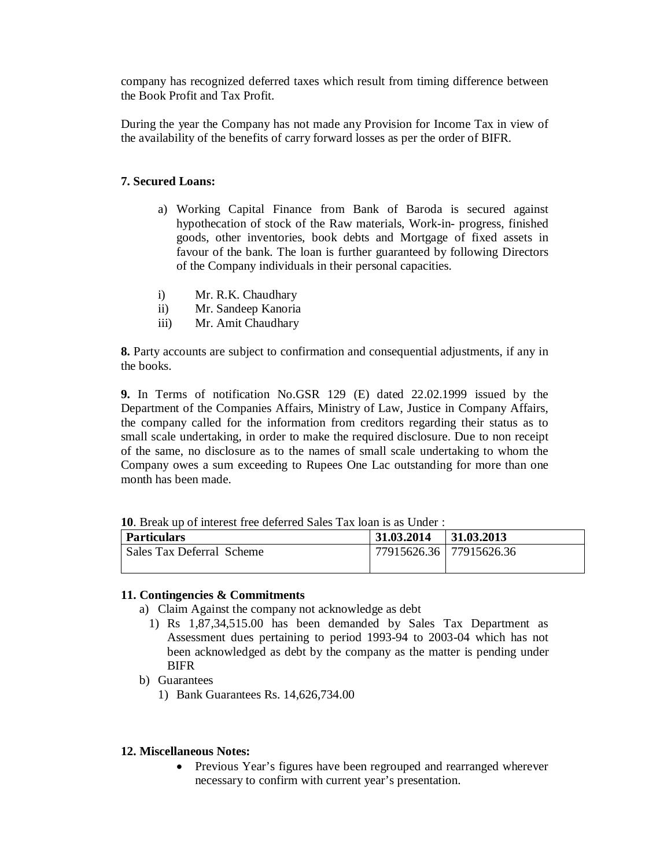company has recognized deferred taxes which result from timing difference between the Book Profit and Tax Profit.

During the year the Company has not made any Provision for Income Tax in view of the availability of the benefits of carry forward losses as per the order of BIFR.

# **7. Secured Loans:**

- a) Working Capital Finance from Bank of Baroda is secured against hypothecation of stock of the Raw materials, Work-in- progress, finished goods, other inventories, book debts and Mortgage of fixed assets in favour of the bank. The loan is further guaranteed by following Directors of the Company individuals in their personal capacities.
- i) Mr. R.K. Chaudhary
- ii) Mr. Sandeep Kanoria
- iii) Mr. Amit Chaudhary

**8.** Party accounts are subject to confirmation and consequential adjustments, if any in the books.

**9.** In Terms of notification No.GSR 129 (E) dated 22.02.1999 issued by the Department of the Companies Affairs, Ministry of Law, Justice in Company Affairs, the company called for the information from creditors regarding their status as to small scale undertaking, in order to make the required disclosure. Due to non receipt of the same, no disclosure as to the names of small scale undertaking to whom the Company owes a sum exceeding to Rupees One Lac outstanding for more than one month has been made.

| <b>IV.</b> Dieak up of interest free deteried Sales Tax foall is as Under . |                             |  |  |  |
|-----------------------------------------------------------------------------|-----------------------------|--|--|--|
| Particulars                                                                 | $31.03.2014$   $31.03.2013$ |  |  |  |
| Sales Tax Deferral Scheme                                                   | 77915626.36   77915626.36   |  |  |  |

# **10**. Break up of interest free deferred Sales Tax loan is as Under :

# **11. Contingencies & Commitments**

- a) Claim Against the company not acknowledge as debt
	- 1) Rs 1,87,34,515.00 has been demanded by Sales Tax Department as Assessment dues pertaining to period 1993-94 to 2003-04 which has not been acknowledged as debt by the company as the matter is pending under BIFR
- b) Guarantees
	- 1) Bank Guarantees Rs. 14,626,734.00

# **12. Miscellaneous Notes:**

 Previous Year's figures have been regrouped and rearranged wherever necessary to confirm with current year's presentation.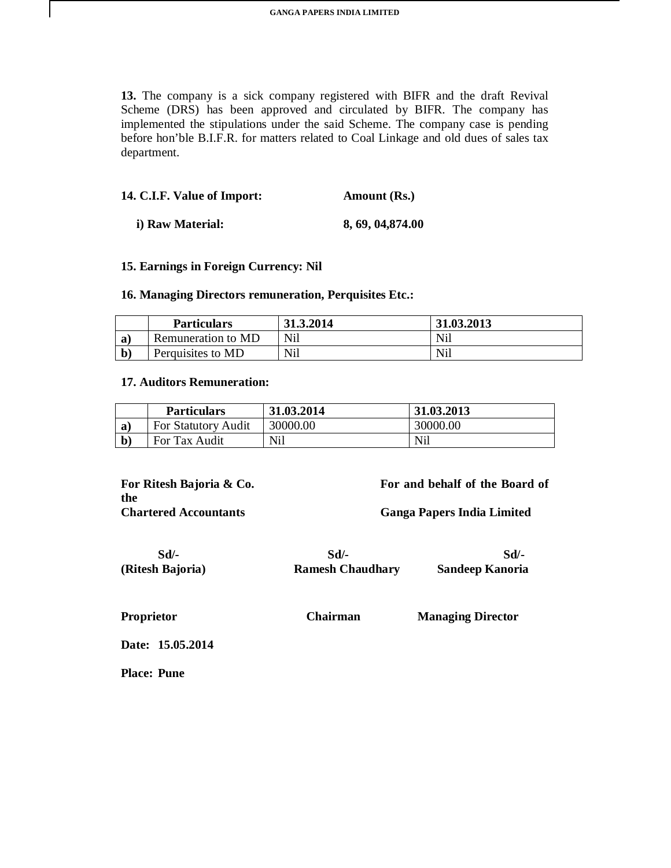**13.** The company is a sick company registered with BIFR and the draft Revival Scheme (DRS) has been approved and circulated by BIFR. The company has implemented the stipulations under the said Scheme. The company case is pending before hon'ble B.I.F.R. for matters related to Coal Linkage and old dues of sales tax department.

| 14. C.I.F. Value of Import: | Amount (Rs.)      |
|-----------------------------|-------------------|
| i) Raw Material:            | 8, 69, 04, 874.00 |

### **15. Earnings in Foreign Currency: Nil**

### **16. Managing Directors remuneration, Perquisites Etc.:**

|   | <b>Particulars</b> | 31.3.2014  | 31.03.2013 |
|---|--------------------|------------|------------|
| a | Remuneration to MD | Nil        | Nil        |
|   | Perquisites to MD  | <b>Nil</b> | Nil        |

## **17. Auditors Remuneration:**

 $\mathsf{l}$ 

|   | <b>Particulars</b>         | 31.03.2014 | 31.03.2013 |
|---|----------------------------|------------|------------|
| a | <b>For Statutory Audit</b> | 30000.00   | 30000.00   |
|   | For Tax Audit              | Nil        | Nil        |

**the** 

**For Ritesh Bajoria & Co. For and behalf of the Board of** 

**Chartered Accountants Ganga Papers India Limited**

 **Sd/- Sd/- Sd/- (Ritesh Bajoria) Ramesh Chaudhary Sandeep Kanoria**

**Proprietor Chairman Managing Director**

**Date: 15.05.2014**

**Place: Pune**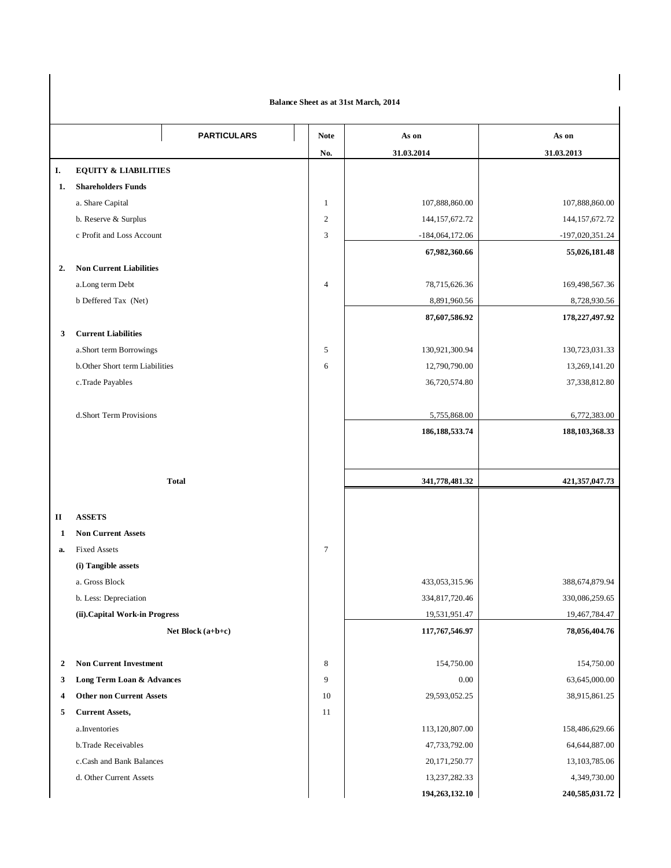#### **Balance Sheet as at 31st March, 2014**

 $\begin{array}{c} \hline \end{array}$ 

|                | Dalance Sheet as at 51st march, 2014 |                |                                 |                   |  |
|----------------|--------------------------------------|----------------|---------------------------------|-------------------|--|
|                | <b>PARTICULARS</b>                   | <b>Note</b>    | As on                           | As on             |  |
|                |                                      | No.            | 31.03.2014                      | 31.03.2013        |  |
| Ι.             | <b>EQUITY &amp; LIABILITIES</b>      |                |                                 |                   |  |
| 1.             | <b>Shareholders Funds</b>            |                |                                 |                   |  |
|                | a. Share Capital                     | $\mathbf{1}$   | 107,888,860.00                  | 107,888,860.00    |  |
|                | b. Reserve & Surplus                 | $\overline{2}$ | 144, 157, 672. 72               | 144, 157, 672. 72 |  |
|                | c Profit and Loss Account            | 3              | $-184,064,172.06$               | $-197,020,351.24$ |  |
|                |                                      |                | 67,982,360.66                   | 55,026,181.48     |  |
| 2.             | <b>Non Current Liabilities</b>       |                |                                 |                   |  |
|                | a.Long term Debt                     | 4              | 78,715,626.36                   | 169,498,567.36    |  |
|                | b Deffered Tax (Net)                 |                | 8,891,960.56                    | 8,728,930.56      |  |
|                |                                      |                | 87,607,586.92                   | 178,227,497.92    |  |
| 3              | <b>Current Liabilities</b>           |                |                                 |                   |  |
|                | a.Short term Borrowings              | 5              | 130,921,300.94                  | 130,723,031.33    |  |
|                | b.Other Short term Liabilities       | 6              | 12,790,790.00                   | 13,269,141.20     |  |
|                | c.Trade Payables                     |                | 36,720,574.80                   | 37,338,812.80     |  |
|                |                                      |                |                                 |                   |  |
|                | d.Short Term Provisions              |                | 5,755,868.00                    | 6,772,383.00      |  |
|                |                                      |                | 186, 188, 533. 74               | 188, 103, 368. 33 |  |
|                |                                      |                |                                 |                   |  |
|                |                                      |                |                                 |                   |  |
|                | <b>Total</b>                         |                | 341,778,481.32                  | 421, 357, 047. 73 |  |
|                |                                      |                |                                 |                   |  |
| П              | <b>ASSETS</b>                        |                |                                 |                   |  |
| 1              | <b>Non Current Assets</b>            |                |                                 |                   |  |
| a.             | <b>Fixed Assets</b>                  | $\tau$         |                                 |                   |  |
|                | (i) Tangible assets                  |                |                                 |                   |  |
|                | a. Gross Block                       |                | 433,053,315.96                  | 388,674,879.94    |  |
|                | b. Less: Depreciation                |                | 334,817,720.46                  | 330,086,259.65    |  |
|                | (ii). Capital Work-in Progress       |                | 19,531,951.47                   | 19,467,784.47     |  |
|                | Net Block (a+b+c)                    |                | 117,767,546.97                  | 78,056,404.76     |  |
|                |                                      |                |                                 |                   |  |
| $\overline{2}$ | <b>Non Current Investment</b>        | 8              | 154,750.00                      | 154,750.00        |  |
| 3              | Long Term Loan & Advances            | 9              | 0.00                            | 63,645,000.00     |  |
| 4              | <b>Other non Current Assets</b>      | 10             | 29,593,052.25                   | 38,915,861.25     |  |
| 5              | <b>Current Assets,</b>               | 11             |                                 | 158,486,629.66    |  |
|                | a.Inventories<br>b.Trade Receivables |                | 113,120,807.00<br>47,733,792.00 | 64, 644, 887. 00  |  |
|                | c.Cash and Bank Balances             |                | 20,171,250.77                   | 13, 103, 785.06   |  |
|                | d. Other Current Assets              |                | 13,237,282.33                   | 4,349,730.00      |  |
|                |                                      |                | 194,263,132.10                  | 240,585,031.72    |  |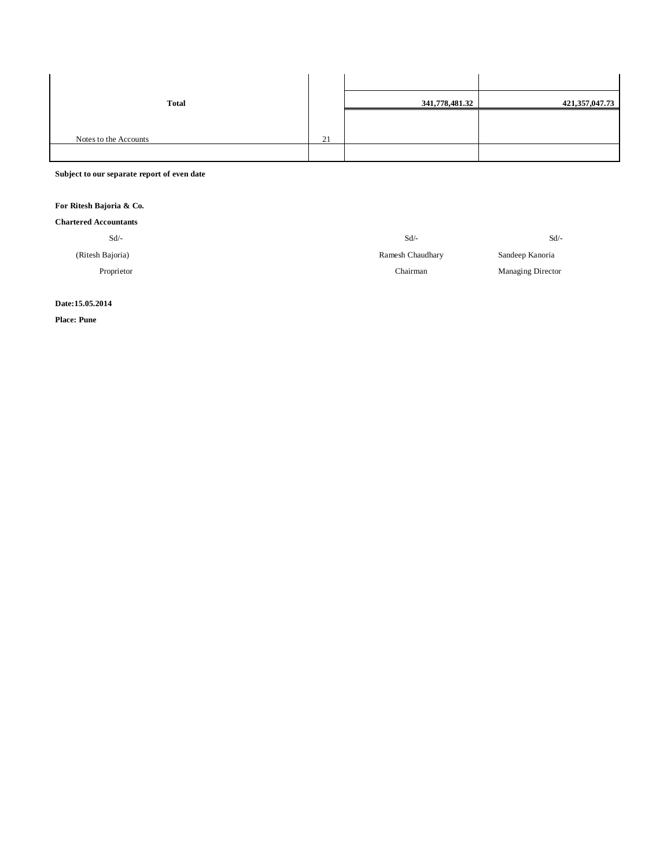| <b>Total</b>          |    | 341,778,481.32 | 421,357,047.73 |
|-----------------------|----|----------------|----------------|
|                       |    |                |                |
| Notes to the Accounts | 21 |                |                |
|                       |    |                |                |

**Subject to our separate report of even date**

#### **For Ritesh Bajoria & Co.**

|  | <b>Chartered Accountants</b> |
|--|------------------------------|
|--|------------------------------|

| $Sd$ /-          | $Sd$ /-          | Sd                |
|------------------|------------------|-------------------|
| (Ritesh Bajoria) | Ramesh Chaudhary | Sandeep Kanoria   |
| Proprietor       | Chairman         | Managing Director |
|                  |                  |                   |

**Date:15.05.2014**

**Place: Pune**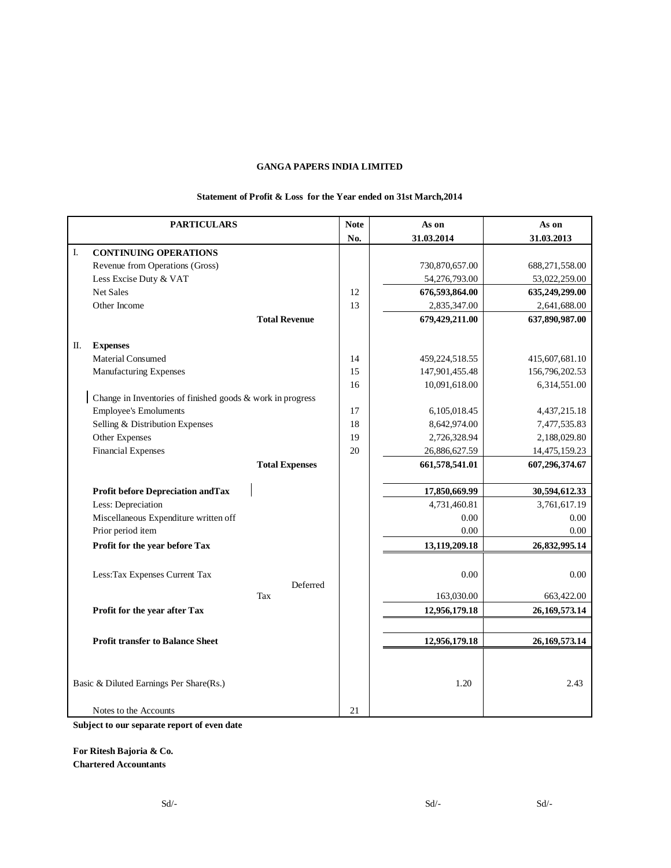#### **Statement of Profit & Loss for the Year ended on 31st March,2014**

|    | <b>PARTICULARS</b>                                         | <b>Note</b> | As on          | As on            |
|----|------------------------------------------------------------|-------------|----------------|------------------|
|    |                                                            | No.         | 31.03.2014     | 31.03.2013       |
| I. | <b>CONTINUING OPERATIONS</b>                               |             |                |                  |
|    | Revenue from Operations (Gross)                            |             | 730,870,657.00 | 688,271,558.00   |
|    | Less Excise Duty & VAT                                     |             | 54,276,793.00  | 53,022,259.00    |
|    | <b>Net Sales</b>                                           | 12          | 676,593,864.00 | 635,249,299.00   |
|    | Other Income                                               | 13          | 2,835,347.00   | 2,641,688.00     |
|    | <b>Total Revenue</b>                                       |             | 679,429,211.00 | 637,890,987.00   |
|    |                                                            |             |                |                  |
| П. | <b>Expenses</b>                                            |             |                |                  |
|    | Material Consumed                                          | 14          | 459,224,518.55 | 415,607,681.10   |
|    | Manufacturing Expenses                                     | 15          | 147,901,455.48 | 156,796,202.53   |
|    |                                                            | 16          | 10,091,618.00  | 6,314,551.00     |
|    | Change in Inventories of finished goods & work in progress |             |                |                  |
|    | <b>Employee's Emoluments</b>                               | 17          | 6,105,018.45   | 4, 437, 215. 18  |
|    | Selling & Distribution Expenses                            | 18          | 8,642,974.00   | 7,477,535.83     |
|    | Other Expenses                                             | 19          | 2,726,328.94   | 2,188,029.80     |
|    | <b>Financial Expenses</b>                                  | 20          | 26,886,627.59  | 14,475,159.23    |
|    | <b>Total Expenses</b>                                      |             | 661,578,541.01 | 607,296,374.67   |
|    |                                                            |             |                |                  |
|    | <b>Profit before Depreciation and Tax</b>                  |             | 17,850,669.99  | 30,594,612.33    |
|    | Less: Depreciation                                         |             | 4,731,460.81   | 3,761,617.19     |
|    | Miscellaneous Expenditure written off                      |             | 0.00           | 0.00             |
|    | Prior period item                                          |             | 0.00           | 0.00             |
|    | Profit for the year before Tax                             |             | 13,119,209.18  | 26,832,995.14    |
|    |                                                            |             |                |                  |
|    | Less: Tax Expenses Current Tax                             |             | 0.00           | 0.00             |
|    | Deferred<br>Tax                                            |             |                |                  |
|    |                                                            |             | 163,030.00     | 663,422.00       |
|    | Profit for the year after Tax                              |             | 12,956,179.18  | 26, 169, 573. 14 |
|    |                                                            |             |                |                  |
|    | <b>Profit transfer to Balance Sheet</b>                    |             | 12,956,179.18  | 26, 169, 573. 14 |
|    |                                                            |             |                |                  |
|    |                                                            |             |                |                  |
|    | Basic & Diluted Earnings Per Share(Rs.)                    |             | 1.20           | 2.43             |
|    |                                                            |             |                |                  |
|    | Notes to the Accounts                                      | 21          |                |                  |

**Subject to our separate report of even date**

**For Ritesh Bajoria & Co. Chartered Accountants**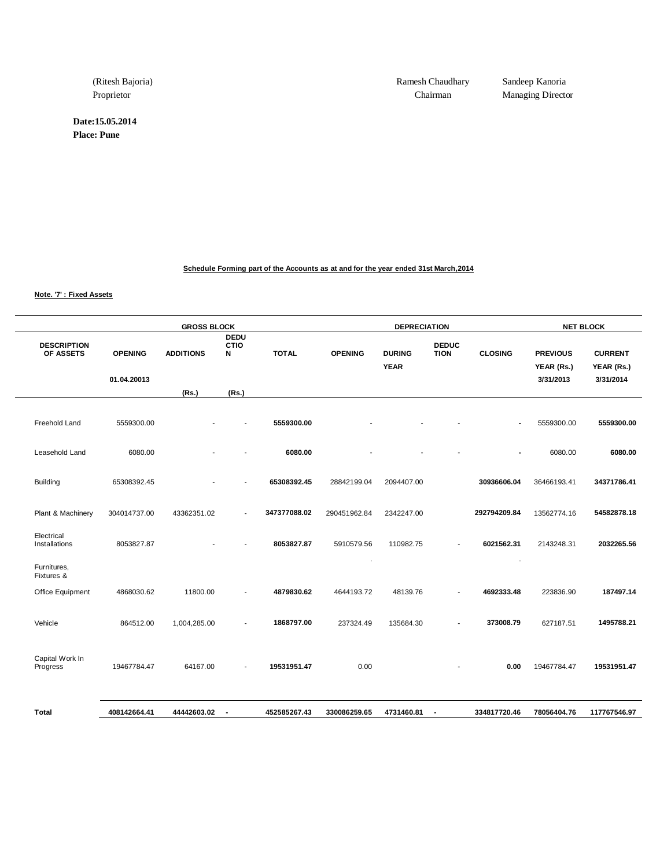**Date:15.05.2014**

**Place: Pune**

(Ritesh Bajoria) Ramesh Chaudhary Sandeep Kanoria

Proprietor Chairman Managing Director

**Schedule Forming part of the Accounts as at and for the year ended 31st March,2014**

**Note. '7' : Fixed Assets**

|                                 |                | <b>GROSS BLOCK</b> |                                 |              |                | <b>DEPRECIATION</b>          |                             |                |                               | <b>NET BLOCK</b>             |
|---------------------------------|----------------|--------------------|---------------------------------|--------------|----------------|------------------------------|-----------------------------|----------------|-------------------------------|------------------------------|
| <b>DESCRIPTION</b><br>OF ASSETS | <b>OPENING</b> | <b>ADDITIONS</b>   | <b>DEDU</b><br><b>CTIO</b><br>N | <b>TOTAL</b> | <b>OPENING</b> | <b>DURING</b><br><b>YEAR</b> | <b>DEDUC</b><br><b>TION</b> | <b>CLOSING</b> | <b>PREVIOUS</b><br>YEAR (Rs.) | <b>CURRENT</b><br>YEAR (Rs.) |
|                                 | 01.04.20013    | (Rs.)              | (Rs.)                           |              |                |                              |                             |                | 3/31/2013                     | 3/31/2014                    |
|                                 |                |                    |                                 |              |                |                              |                             |                |                               |                              |
| Freehold Land                   | 5559300.00     |                    |                                 | 5559300.00   |                |                              |                             |                | 5559300.00                    | 5559300.00                   |
| Leasehold Land                  | 6080.00        |                    | ٠                               | 6080.00      |                |                              |                             | $\blacksquare$ | 6080.00                       | 6080.00                      |
| Building                        | 65308392.45    |                    |                                 | 65308392.45  | 28842199.04    | 2094407.00                   |                             | 30936606.04    | 36466193.41                   | 34371786.41                  |
| Plant & Machinery               | 304014737.00   | 43362351.02        |                                 | 347377088.02 | 290451962.84   | 2342247.00                   |                             | 292794209.84   | 13562774.16                   | 54582878.18                  |
| Electrical<br>Installations     | 8053827.87     |                    |                                 | 8053827.87   | 5910579.56     | 110982.75                    |                             | 6021562.31     | 2143248.31                    | 2032265.56                   |
| Furnitures,<br>Fixtures &       |                |                    |                                 |              |                |                              |                             |                |                               |                              |
| Office Equipment                | 4868030.62     | 11800.00           | ٠                               | 4879830.62   | 4644193.72     | 48139.76                     |                             | 4692333.48     | 223836.90                     | 187497.14                    |
| Vehicle                         | 864512.00      | 1,004,285.00       |                                 | 1868797.00   | 237324.49      | 135684.30                    |                             | 373008.79      | 627187.51                     | 1495788.21                   |
| Capital Work In<br>Progress     | 19467784.47    | 64167.00           |                                 | 19531951.47  | 0.00           |                              |                             | 0.00           | 19467784.47                   | 19531951.47                  |
| Total                           | 408142664.41   | 44442603.02        | $\sim$                          | 452585267.43 | 330086259.65   | 4731460.81                   | $\overline{\phantom{a}}$    | 334817720.46   | 78056404.76                   | 117767546.97                 |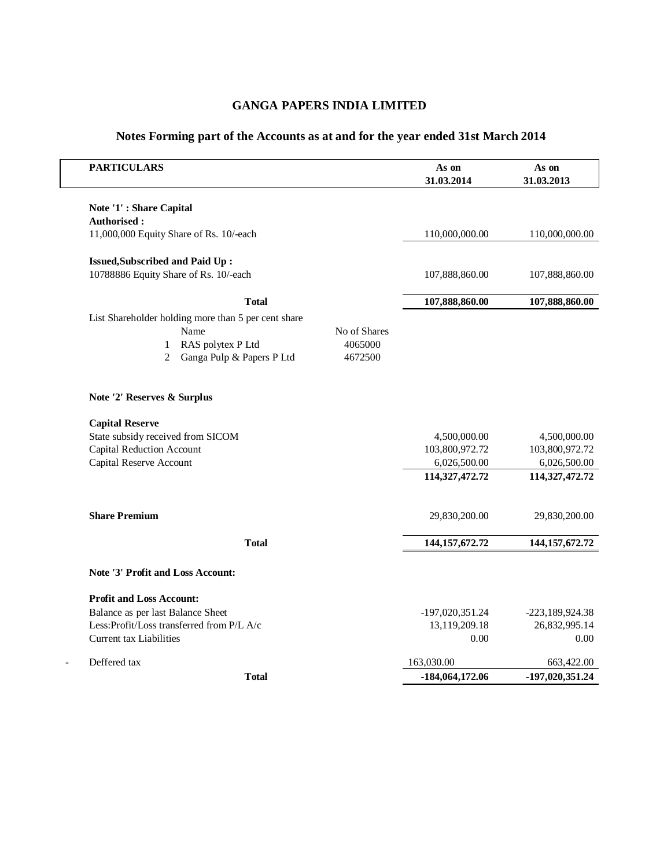| <b>PARTICULARS</b>                                  |              | As on<br>31.03.2014 | As on<br>31.03.2013 |
|-----------------------------------------------------|--------------|---------------------|---------------------|
| Note '1': Share Capital                             |              |                     |                     |
| Authorised:                                         |              |                     |                     |
| 11,000,000 Equity Share of Rs. 10/-each             |              | 110,000,000.00      | 110,000,000.00      |
| <b>Issued, Subscribed and Paid Up:</b>              |              |                     |                     |
| 10788886 Equity Share of Rs. 10/-each               |              | 107,888,860.00      | 107,888,860.00      |
| <b>T</b> otal                                       |              | 107,888,860.00      | 107,888,860.00      |
| List Shareholder holding more than 5 per cent share |              |                     |                     |
| Name                                                | No of Shares |                     |                     |
| RAS polytex P Ltd<br>$\mathbf{1}$                   | 4065000      |                     |                     |
| Ganga Pulp & Papers P Ltd<br>2                      | 4672500      |                     |                     |
| Note '2' Reserves & Surplus                         |              |                     |                     |
| <b>Capital Reserve</b>                              |              |                     |                     |
| State subsidy received from SICOM                   |              | 4,500,000.00        | 4,500,000.00        |
| <b>Capital Reduction Account</b>                    |              | 103,800,972.72      | 103,800,972.72      |
| Capital Reserve Account                             |              | 6,026,500.00        | 6,026,500.00        |
|                                                     |              | 114,327,472.72      | 114,327,472.72      |
| <b>Share Premium</b>                                |              | 29,830,200.00       | 29,830,200.00       |
| <b>Total</b>                                        |              | 144, 157, 672. 72   | 144, 157, 672. 72   |
| Note '3' Profit and Loss Account:                   |              |                     |                     |
| <b>Profit and Loss Account:</b>                     |              |                     |                     |
| Balance as per last Balance Sheet                   |              | -197,020,351.24     | -223,189,924.38     |
| Less:Profit/Loss transferred from P/L A/c           |              | 13,119,209.18       | 26,832,995.14       |
| Current tax Liabilities                             |              | 0.00                | 0.00                |
| Deffered tax                                        |              | 163,030.00          | 663,422.00          |
| <b>T</b> otal                                       |              | -184,064,172.06     | -197,020,351.24     |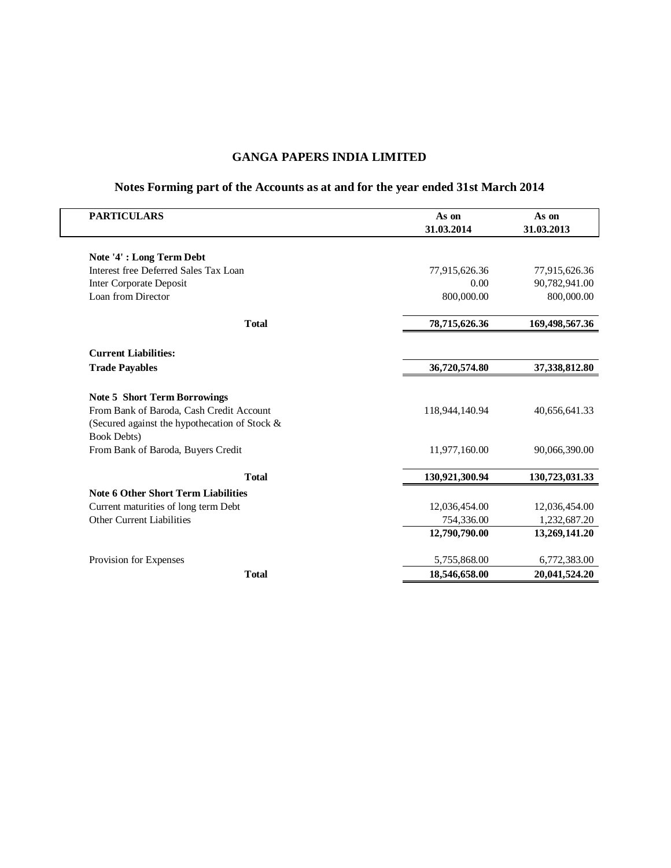| <b>PARTICULARS</b>                            | As on<br>31.03.2014 | As on<br>31.03.2013 |
|-----------------------------------------------|---------------------|---------------------|
|                                               |                     |                     |
| Note '4': Long Term Debt                      |                     |                     |
| Interest free Deferred Sales Tax Loan         | 77,915,626.36       | 77,915,626.36       |
| Inter Corporate Deposit                       | 0.00                | 90,782,941.00       |
| Loan from Director                            | 800,000.00          | 800,000.00          |
| <b>T</b> otal                                 | 78,715,626.36       | 169,498,567.36      |
| <b>Current Liabilities:</b>                   |                     |                     |
| <b>Trade Payables</b>                         | 36,720,574.80       | 37,338,812.80       |
| <b>Note 5 Short Term Borrowings</b>           |                     |                     |
| From Bank of Baroda, Cash Credit Account      | 118,944,140.94      | 40,656,641.33       |
| (Secured against the hypothecation of Stock & |                     |                     |
| <b>Book Debts)</b>                            |                     |                     |
| From Bank of Baroda, Buyers Credit            | 11,977,160.00       | 90,066,390.00       |
| <b>T</b> otal                                 | 130,921,300.94      | 130,723,031.33      |
| <b>Note 6 Other Short Term Liabilities</b>    |                     |                     |
| Current maturities of long term Debt          | 12,036,454.00       | 12,036,454.00       |
| Other Current Liabilities                     | 754,336.00          | 1,232,687.20        |
|                                               | 12,790,790.00       | 13,269,141.20       |
| Provision for Expenses                        | 5,755,868.00        | 6,772,383.00        |
| <b>Total</b>                                  | 18,546,658.00       | 20,041,524.20       |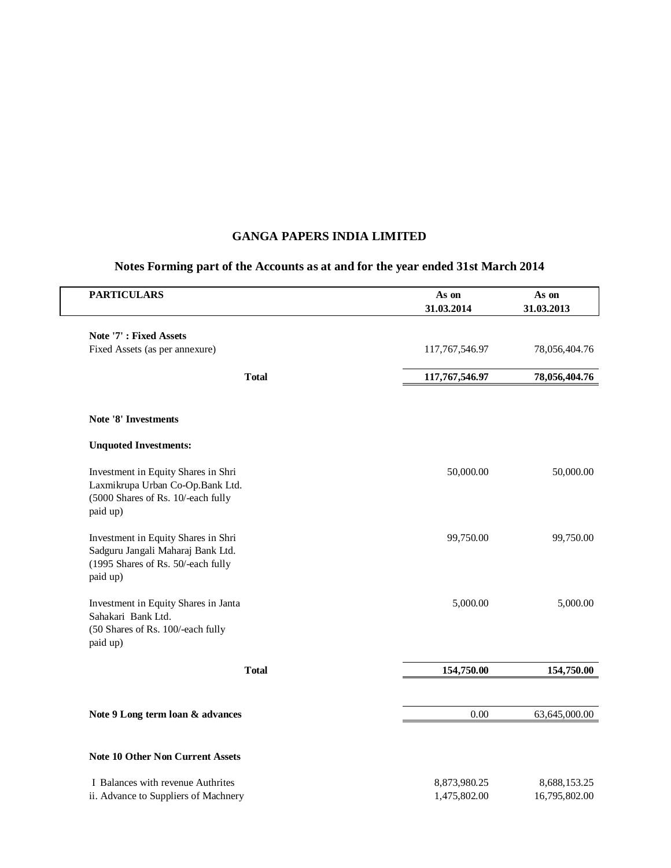| <b>PARTICULARS</b>                                                                                                         | As on<br>31.03.2014          | As on<br>31.03.2013           |
|----------------------------------------------------------------------------------------------------------------------------|------------------------------|-------------------------------|
| Note '7': Fixed Assets                                                                                                     |                              |                               |
| Fixed Assets (as per annexure)                                                                                             | 117,767,546.97               | 78,056,404.76                 |
| <b>T</b> otal                                                                                                              | 117,767,546.97               | 78,056,404.76                 |
| Note '8' Investments                                                                                                       |                              |                               |
| <b>Unquoted Investments:</b>                                                                                               |                              |                               |
| Investment in Equity Shares in Shri<br>Laxmikrupa Urban Co-Op.Bank Ltd.<br>(5000 Shares of Rs. 10/-each fully<br>paid up)  | 50,000.00                    | 50,000.00                     |
| Investment in Equity Shares in Shri<br>Sadguru Jangali Maharaj Bank Ltd.<br>(1995 Shares of Rs. 50/-each fully<br>paid up) | 99,750.00                    | 99,750.00                     |
| Investment in Equity Shares in Janta<br>Sahakari Bank Ltd.<br>(50 Shares of Rs. 100/-each fully<br>paid up)                | 5,000.00                     | 5,000.00                      |
| <b>T</b> otal                                                                                                              | 154,750.00                   | 154,750.00                    |
| Note 9 Long term loan & advances                                                                                           | 0.00                         | 63,645,000.00                 |
| <b>Note 10 Other Non Current Assets</b>                                                                                    |                              |                               |
| I Balances with revenue Authrites<br>ii. Advance to Suppliers of Machnery                                                  | 8,873,980.25<br>1,475,802.00 | 8,688,153.25<br>16,795,802.00 |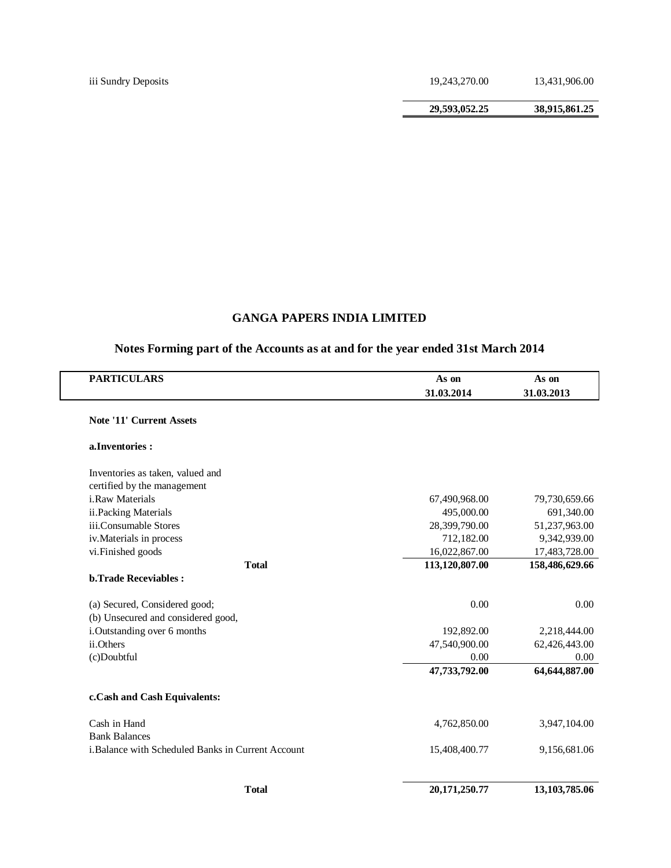iii Sundry Deposits 19,243,270.00 13,431,906.00

**29,593,052.25 38,915,861.25**

# **GANGA PAPERS INDIA LIMITED**

| <b>PARTICULARS</b>                                 | As on          | As on          |
|----------------------------------------------------|----------------|----------------|
|                                                    | 31.03.2014     | 31.03.2013     |
| <b>Note '11' Current Assets</b>                    |                |                |
| a.Inventories:                                     |                |                |
| Inventories as taken, valued and                   |                |                |
| certified by the management                        |                |                |
| i.Raw Materials                                    | 67,490,968.00  | 79,730,659.66  |
| ii.Packing Materials                               | 495,000.00     | 691,340.00     |
| iii.Consumable Stores                              | 28,399,790.00  | 51,237,963.00  |
| iv. Materials in process                           | 712,182.00     | 9,342,939.00   |
| vi.Finished goods                                  | 16,022,867.00  | 17,483,728.00  |
| <b>T</b> otal                                      | 113,120,807.00 | 158,486,629.66 |
| <b>b.Trade Receviables:</b>                        |                |                |
| (a) Secured, Considered good;                      | 0.00           | 0.00           |
| (b) Unsecured and considered good,                 |                |                |
| i. Outstanding over 6 months                       | 192,892.00     | 2,218,444.00   |
| ii.Others                                          | 47,540,900.00  | 62,426,443.00  |
| (c)Doubtful                                        | 0.00           | 0.00           |
|                                                    | 47,733,792.00  | 64,644,887.00  |
| c.Cash and Cash Equivalents:                       |                |                |
| Cash in Hand                                       | 4,762,850.00   | 3,947,104.00   |
| <b>Bank Balances</b>                               |                |                |
| i. Balance with Scheduled Banks in Current Account | 15,408,400.77  | 9,156,681.06   |
| <b>T</b> otal                                      | 20,171,250.77  | 13,103,785.06  |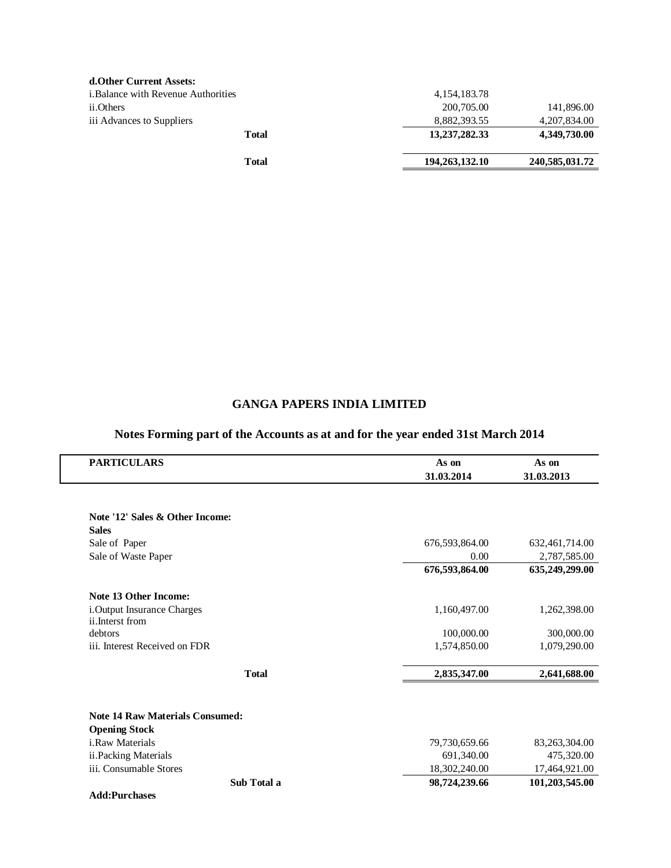| Total                                     | 194,263,132.10  | 240,585,031.72 |
|-------------------------------------------|-----------------|----------------|
| Total                                     | 13,237,282.33   | 4,349,730.00   |
| iii Advances to Suppliers                 | 8,882,393.55    | 4,207,834.00   |
| ii.Others                                 | 200,705.00      | 141,896.00     |
| <i>i.Balance with Revenue Authorities</i> | 4, 154, 183. 78 |                |
| d. Other Current Assets:                  |                 |                |

| <b>PARTICULARS</b>                     | As on          | As on          |
|----------------------------------------|----------------|----------------|
|                                        | 31.03.2014     | 31.03.2013     |
|                                        |                |                |
| Note '12' Sales & Other Income:        |                |                |
| <b>Sales</b>                           |                |                |
| Sale of Paper                          | 676,593,864.00 | 632,461,714.00 |
| Sale of Waste Paper                    | 0.00           | 2,787,585.00   |
|                                        | 676,593,864.00 | 635,249,299.00 |
| Note 13 Other Income:                  |                |                |
| i.Output Insurance Charges             | 1,160,497.00   | 1,262,398.00   |
| ii.Interst from                        |                |                |
| debtors                                | 100,000.00     | 300,000.00     |
| iii. Interest Received on FDR          | 1,574,850.00   | 1,079,290.00   |
| <b>Total</b>                           | 2,835,347.00   | 2,641,688.00   |
|                                        |                |                |
| <b>Note 14 Raw Materials Consumed:</b> |                |                |
| <b>Opening Stock</b>                   |                |                |
| i.Raw Materials                        | 79,730,659.66  | 83,263,304.00  |
| ii.Packing Materials                   | 691,340.00     | 475,320.00     |
| iii. Consumable Stores                 | 18,302,240.00  | 17,464,921.00  |
| Sub Total a                            | 98,724,239.66  | 101,203,545.00 |
| <b>Add:Purchases</b>                   |                |                |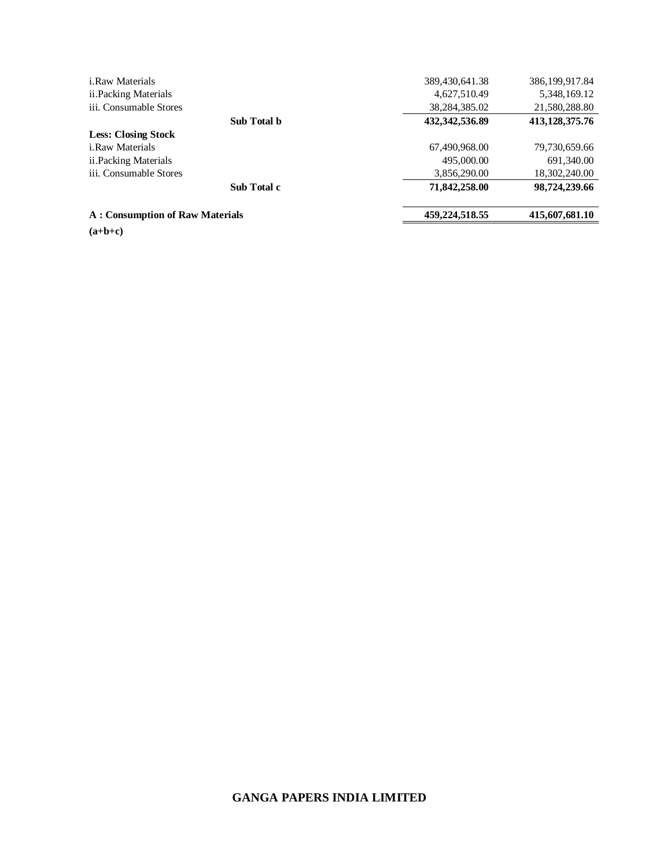| $(a+b+c)$                              |             |                  |                |
|----------------------------------------|-------------|------------------|----------------|
| <b>A: Consumption of Raw Materials</b> |             | 459,224,518.55   | 415,607,681.10 |
|                                        | Sub Total c | 71,842,258.00    | 98,724,239.66  |
| iii. Consumable Stores                 |             | 3,856,290.00     | 18,302,240.00  |
| ii. Packing Materials                  |             | 495,000.00       | 691,340.00     |
| <i>i.Raw Materials</i>                 |             | 67,490,968.00    | 79,730,659.66  |
| <b>Less: Closing Stock</b>             |             |                  |                |
|                                        | Sub Total b | 432, 342, 536.89 | 413,128,375.76 |
| iii. Consumable Stores                 |             | 38,284,385.02    | 21,580,288.80  |
| ii. Packing Materials                  |             | 4,627,510.49     | 5,348,169.12   |
| <i>i.Raw Materials</i>                 |             | 389,430,641.38   | 386,199,917.84 |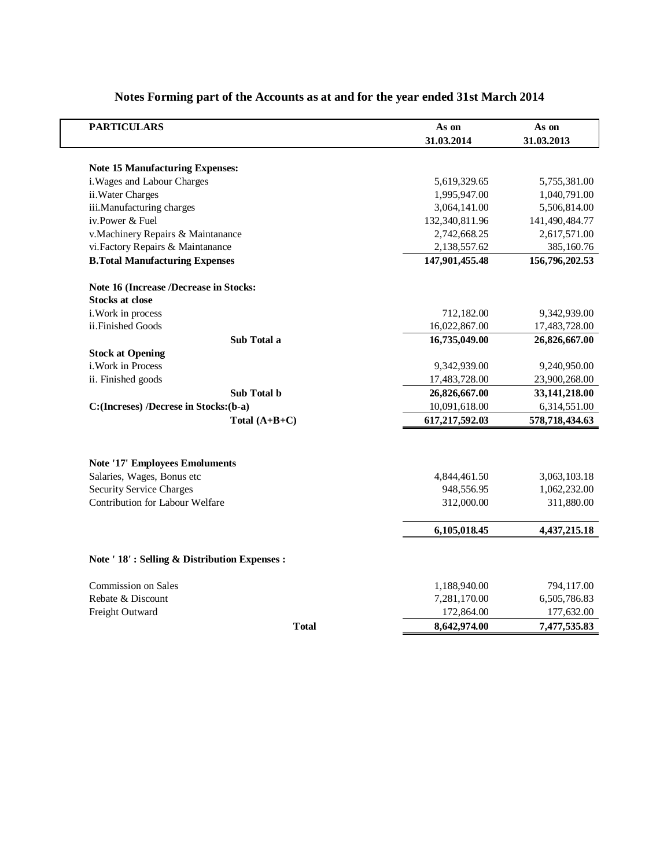| <b>PARTICULARS</b>                           | As on          | As on          |
|----------------------------------------------|----------------|----------------|
|                                              | 31.03.2014     | 31.03.2013     |
| <b>Note 15 Manufacturing Expenses:</b>       |                |                |
| i. Wages and Labour Charges                  | 5,619,329.65   | 5,755,381.00   |
| ii. Water Charges                            | 1,995,947.00   | 1,040,791.00   |
| iii.Manufacturing charges                    | 3,064,141.00   | 5,506,814.00   |
| iv.Power & Fuel                              | 132,340,811.96 | 141,490,484.77 |
| v.Machinery Repairs & Maintanance            | 2,742,668.25   | 2,617,571.00   |
| vi. Factory Repairs & Maintanance            | 2,138,557.62   | 385,160.76     |
| <b>B.Total Manufacturing Expenses</b>        | 147,901,455.48 | 156,796,202.53 |
| Note 16 (Increase /Decrease in Stocks:       |                |                |
| <b>Stocks at close</b>                       |                |                |
| i. Work in process                           | 712,182.00     | 9,342,939.00   |
| ii.Finished Goods                            | 16,022,867.00  | 17,483,728.00  |
| Sub Total a                                  | 16,735,049.00  | 26,826,667.00  |
| <b>Stock at Opening</b>                      |                |                |
| i. Work in Process                           | 9,342,939.00   | 9,240,950.00   |
| ii. Finished goods                           | 17,483,728.00  | 23,900,268.00  |
| Sub Total b                                  | 26,826,667.00  | 33,141,218.00  |
| C: (Increses) /Decrese in Stocks: (b-a)      | 10,091,618.00  | 6,314,551.00   |
| Total $(A+B+C)$                              | 617,217,592.03 | 578,718,434.63 |
|                                              |                |                |
| <b>Note '17' Employees Emoluments</b>        |                |                |
| Salaries, Wages, Bonus etc                   | 4,844,461.50   | 3,063,103.18   |
| <b>Security Service Charges</b>              | 948,556.95     | 1,062,232.00   |
| Contribution for Labour Welfare              | 312,000.00     | 311,880.00     |
|                                              | 6,105,018.45   | 4,437,215.18   |
| Note ' 18': Selling & Distribution Expenses: |                |                |
|                                              |                |                |
| Commission on Sales                          | 1,188,940.00   | 794,117.00     |
| Rebate & Discount                            | 7,281,170.00   | 6,505,786.83   |
| Freight Outward                              | 172,864.00     | 177,632.00     |
| <b>T</b> otal                                | 8,642,974.00   | 7,477,535.83   |